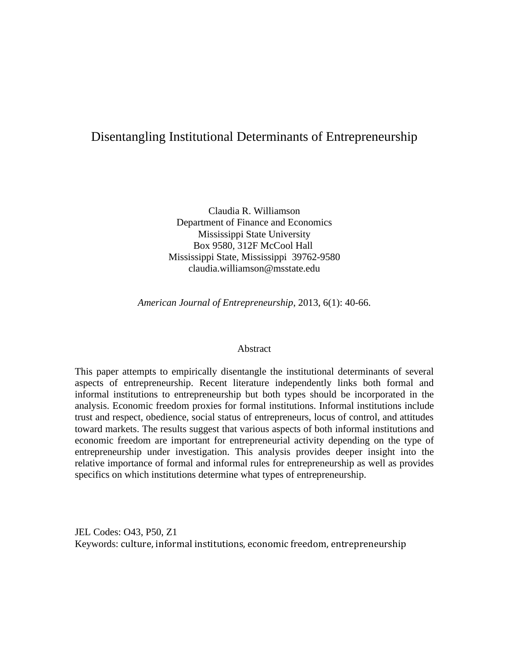## Disentangling Institutional Determinants of Entrepreneurship

Claudia R. Williamson Department of Finance and Economics Mississippi State University Box 9580, 312F McCool Hall Mississippi State, Mississippi 39762-9580 claudia.williamson@msstate.edu

*American Journal of Entrepreneurship*, 2013, 6(1): 40-66.

#### Abstract

This paper attempts to empirically disentangle the institutional determinants of several aspects of entrepreneurship. Recent literature independently links both formal and informal institutions to entrepreneurship but both types should be incorporated in the analysis. Economic freedom proxies for formal institutions. Informal institutions include trust and respect, obedience, social status of entrepreneurs, locus of control, and attitudes toward markets. The results suggest that various aspects of both informal institutions and economic freedom are important for entrepreneurial activity depending on the type of entrepreneurship under investigation. This analysis provides deeper insight into the relative importance of formal and informal rules for entrepreneurship as well as provides specifics on which institutions determine what types of entrepreneurship.

JEL Codes: O43, P50, Z1 Keywords: culture, informal institutions, economic freedom, entrepreneurship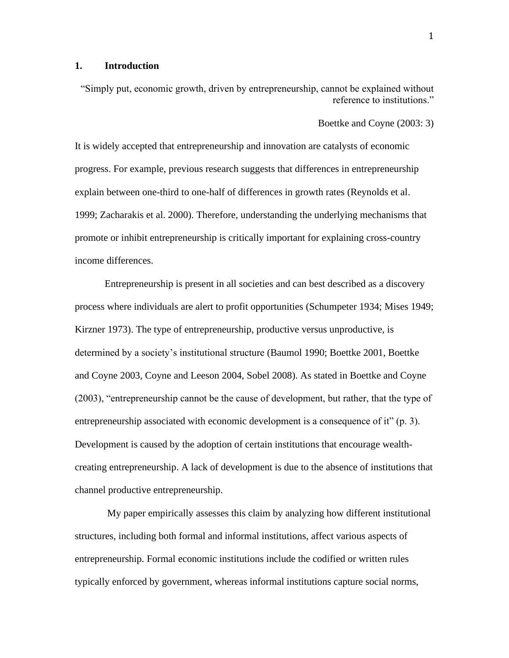### **1. Introduction**

"Simply put, economic growth, driven by entrepreneurship, cannot be explained without reference to institutions."

Boettke and Coyne (2003: 3)

It is widely accepted that entrepreneurship and innovation are catalysts of economic progress. For example, previous research suggests that differences in entrepreneurship explain between one-third to one-half of differences in growth rates (Reynolds et al. 1999; Zacharakis et al. 2000). Therefore, understanding the underlying mechanisms that promote or inhibit entrepreneurship is critically important for explaining cross-country income differences.

Entrepreneurship is present in all societies and can best described as a discovery process where individuals are alert to profit opportunities (Schumpeter 1934; Mises 1949; Kirzner 1973). The type of entrepreneurship, productive versus unproductive, is determined by a society's institutional structure (Baumol 1990; Boettke 2001, Boettke and Coyne 2003, Coyne and Leeson 2004, Sobel 2008). As stated in Boettke and Coyne (2003), "entrepreneurship cannot be the cause of development, but rather, that the type of entrepreneurship associated with economic development is a consequence of it" (p. 3). Development is caused by the adoption of certain institutions that encourage wealthcreating entrepreneurship. A lack of development is due to the absence of institutions that channel productive entrepreneurship.

My paper empirically assesses this claim by analyzing how different institutional structures, including both formal and informal institutions, affect various aspects of entrepreneurship. Formal economic institutions include the codified or written rules typically enforced by government, whereas informal institutions capture social norms,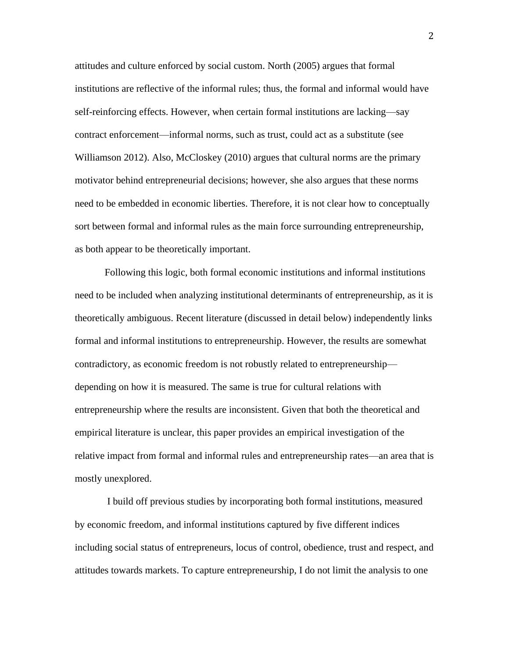attitudes and culture enforced by social custom. North (2005) argues that formal institutions are reflective of the informal rules; thus, the formal and informal would have self-reinforcing effects. However, when certain formal institutions are lacking—say contract enforcement—informal norms, such as trust, could act as a substitute (see Williamson 2012). Also, McCloskey (2010) argues that cultural norms are the primary motivator behind entrepreneurial decisions; however, she also argues that these norms need to be embedded in economic liberties. Therefore, it is not clear how to conceptually sort between formal and informal rules as the main force surrounding entrepreneurship, as both appear to be theoretically important.

Following this logic, both formal economic institutions and informal institutions need to be included when analyzing institutional determinants of entrepreneurship, as it is theoretically ambiguous. Recent literature (discussed in detail below) independently links formal and informal institutions to entrepreneurship. However, the results are somewhat contradictory, as economic freedom is not robustly related to entrepreneurship depending on how it is measured. The same is true for cultural relations with entrepreneurship where the results are inconsistent. Given that both the theoretical and empirical literature is unclear, this paper provides an empirical investigation of the relative impact from formal and informal rules and entrepreneurship rates—an area that is mostly unexplored.

I build off previous studies by incorporating both formal institutions, measured by economic freedom, and informal institutions captured by five different indices including social status of entrepreneurs, locus of control, obedience, trust and respect, and attitudes towards markets. To capture entrepreneurship, I do not limit the analysis to one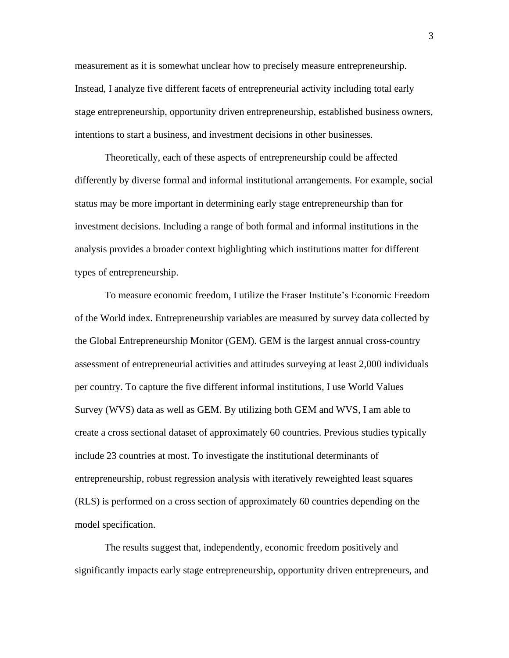measurement as it is somewhat unclear how to precisely measure entrepreneurship. Instead, I analyze five different facets of entrepreneurial activity including total early stage entrepreneurship, opportunity driven entrepreneurship, established business owners, intentions to start a business, and investment decisions in other businesses.

Theoretically, each of these aspects of entrepreneurship could be affected differently by diverse formal and informal institutional arrangements. For example, social status may be more important in determining early stage entrepreneurship than for investment decisions. Including a range of both formal and informal institutions in the analysis provides a broader context highlighting which institutions matter for different types of entrepreneurship.

To measure economic freedom, I utilize the Fraser Institute's Economic Freedom of the World index. Entrepreneurship variables are measured by survey data collected by the Global Entrepreneurship Monitor (GEM). GEM is the largest annual cross-country assessment of entrepreneurial activities and attitudes surveying at least 2,000 individuals per country. To capture the five different informal institutions, I use World Values Survey (WVS) data as well as GEM. By utilizing both GEM and WVS, I am able to create a cross sectional dataset of approximately 60 countries. Previous studies typically include 23 countries at most. To investigate the institutional determinants of entrepreneurship, robust regression analysis with iteratively reweighted least squares (RLS) is performed on a cross section of approximately 60 countries depending on the model specification.

The results suggest that, independently, economic freedom positively and significantly impacts early stage entrepreneurship, opportunity driven entrepreneurs, and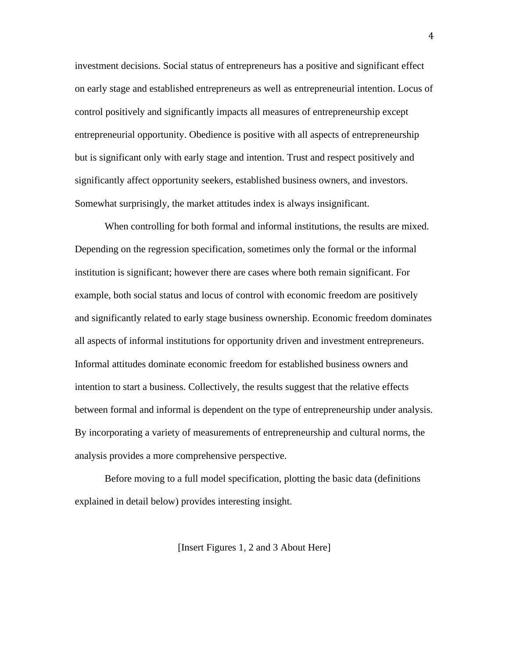investment decisions. Social status of entrepreneurs has a positive and significant effect on early stage and established entrepreneurs as well as entrepreneurial intention. Locus of control positively and significantly impacts all measures of entrepreneurship except entrepreneurial opportunity. Obedience is positive with all aspects of entrepreneurship but is significant only with early stage and intention. Trust and respect positively and significantly affect opportunity seekers, established business owners, and investors. Somewhat surprisingly, the market attitudes index is always insignificant.

When controlling for both formal and informal institutions, the results are mixed. Depending on the regression specification, sometimes only the formal or the informal institution is significant; however there are cases where both remain significant. For example, both social status and locus of control with economic freedom are positively and significantly related to early stage business ownership. Economic freedom dominates all aspects of informal institutions for opportunity driven and investment entrepreneurs. Informal attitudes dominate economic freedom for established business owners and intention to start a business. Collectively, the results suggest that the relative effects between formal and informal is dependent on the type of entrepreneurship under analysis. By incorporating a variety of measurements of entrepreneurship and cultural norms, the analysis provides a more comprehensive perspective.

Before moving to a full model specification, plotting the basic data (definitions explained in detail below) provides interesting insight.

[Insert Figures 1, 2 and 3 About Here]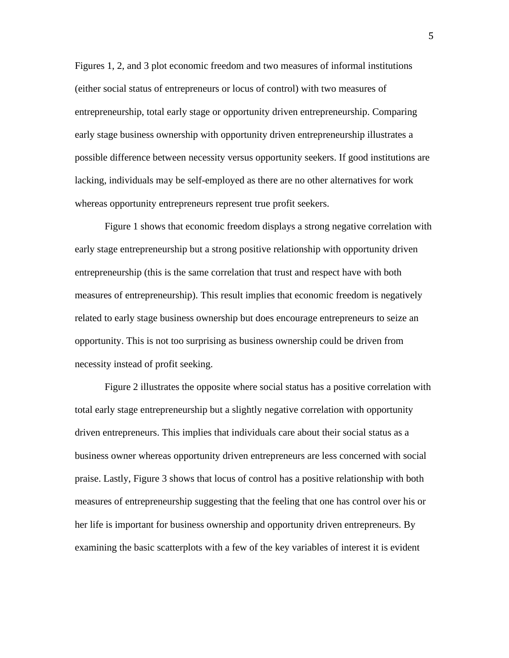Figures 1, 2, and 3 plot economic freedom and two measures of informal institutions (either social status of entrepreneurs or locus of control) with two measures of entrepreneurship, total early stage or opportunity driven entrepreneurship. Comparing early stage business ownership with opportunity driven entrepreneurship illustrates a possible difference between necessity versus opportunity seekers. If good institutions are lacking, individuals may be self-employed as there are no other alternatives for work whereas opportunity entrepreneurs represent true profit seekers.

Figure 1 shows that economic freedom displays a strong negative correlation with early stage entrepreneurship but a strong positive relationship with opportunity driven entrepreneurship (this is the same correlation that trust and respect have with both measures of entrepreneurship). This result implies that economic freedom is negatively related to early stage business ownership but does encourage entrepreneurs to seize an opportunity. This is not too surprising as business ownership could be driven from necessity instead of profit seeking.

Figure 2 illustrates the opposite where social status has a positive correlation with total early stage entrepreneurship but a slightly negative correlation with opportunity driven entrepreneurs. This implies that individuals care about their social status as a business owner whereas opportunity driven entrepreneurs are less concerned with social praise. Lastly, Figure 3 shows that locus of control has a positive relationship with both measures of entrepreneurship suggesting that the feeling that one has control over his or her life is important for business ownership and opportunity driven entrepreneurs. By examining the basic scatterplots with a few of the key variables of interest it is evident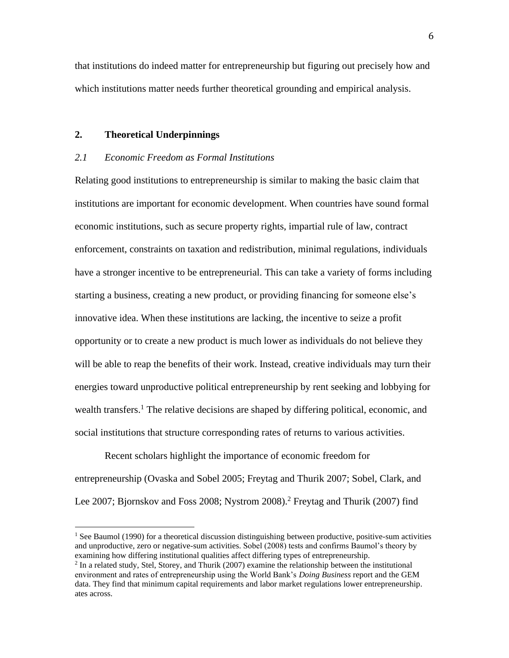that institutions do indeed matter for entrepreneurship but figuring out precisely how and which institutions matter needs further theoretical grounding and empirical analysis.

#### **2. Theoretical Underpinnings**

#### *2.1 Economic Freedom as Formal Institutions*

Relating good institutions to entrepreneurship is similar to making the basic claim that institutions are important for economic development. When countries have sound formal economic institutions, such as secure property rights, impartial rule of law, contract enforcement, constraints on taxation and redistribution, minimal regulations, individuals have a stronger incentive to be entrepreneurial. This can take a variety of forms including starting a business, creating a new product, or providing financing for someone else's innovative idea. When these institutions are lacking, the incentive to seize a profit opportunity or to create a new product is much lower as individuals do not believe they will be able to reap the benefits of their work. Instead, creative individuals may turn their energies toward unproductive political entrepreneurship by rent seeking and lobbying for wealth transfers.<sup>1</sup> The relative decisions are shaped by differing political, economic, and social institutions that structure corresponding rates of returns to various activities.

Recent scholars highlight the importance of economic freedom for entrepreneurship (Ovaska and Sobel 2005; Freytag and Thurik 2007; Sobel, Clark, and Lee 2007; Bjornskov and Foss 2008; Nystrom 2008).<sup>2</sup> Freytag and Thurik (2007) find

 $<sup>1</sup>$  See Baumol (1990) for a theoretical discussion distinguishing between productive, positive-sum activities</sup> and unproductive, zero or negative-sum activities. Sobel (2008) tests and confirms Baumol's theory by examining how differing institutional qualities affect differing types of entrepreneurship.

 $<sup>2</sup>$  In a related study, Stel, Storey, and Thurik (2007) examine the relationship between the institutional</sup> environment and rates of entrepreneurship using the World Bank's *Doing Business* report and the GEM data. They find that minimum capital requirements and labor market regulations lower entrepreneurship. ates across.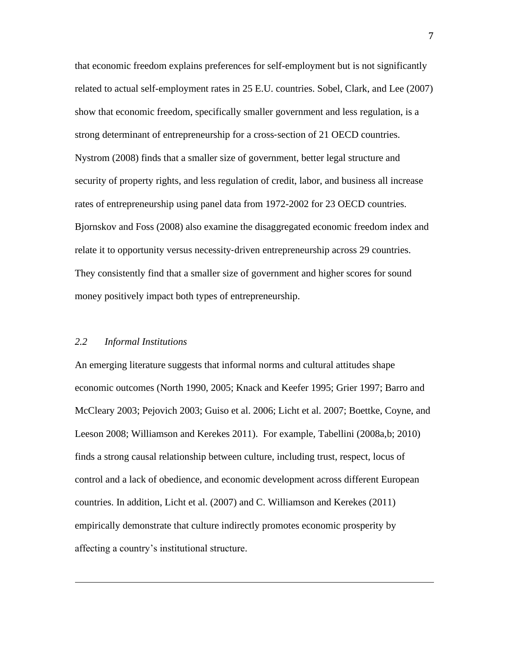that economic freedom explains preferences for self-employment but is not significantly related to actual self-employment rates in 25 E.U. countries. Sobel, Clark, and Lee (2007) show that economic freedom, specifically smaller government and less regulation, is a strong determinant of entrepreneurship for a cross-section of 21 OECD countries. Nystrom (2008) finds that a smaller size of government, better legal structure and security of property rights, and less regulation of credit, labor, and business all increase rates of entrepreneurship using panel data from 1972-2002 for 23 OECD countries. Bjornskov and Foss (2008) also examine the disaggregated economic freedom index and relate it to opportunity versus necessity-driven entrepreneurship across 29 countries. They consistently find that a smaller size of government and higher scores for sound money positively impact both types of entrepreneurship.

### *2.2 Informal Institutions*

An emerging literature suggests that informal norms and cultural attitudes shape economic outcomes (North 1990, 2005; Knack and Keefer 1995; Grier 1997; Barro and McCleary 2003; Pejovich 2003; Guiso et al. 2006; Licht et al. 2007; Boettke, Coyne, and Leeson 2008; Williamson and Kerekes 2011). For example, Tabellini (2008a,b; 2010) finds a strong causal relationship between culture, including trust, respect, locus of control and a lack of obedience, and economic development across different European countries. In addition, Licht et al. (2007) and C. Williamson and Kerekes (2011) empirically demonstrate that culture indirectly promotes economic prosperity by affecting a country's institutional structure.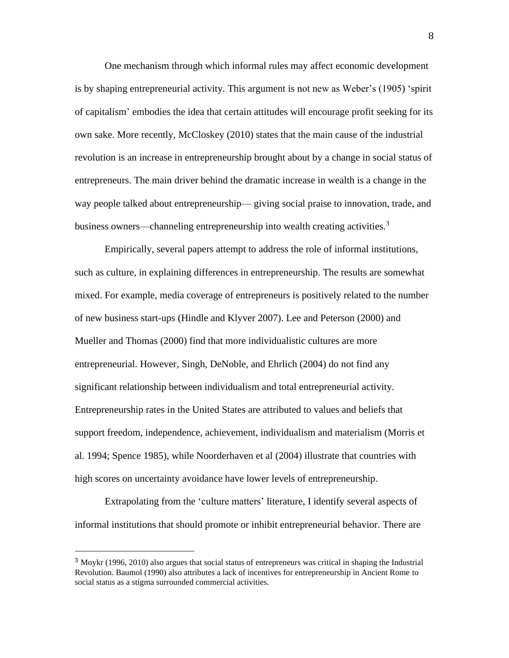One mechanism through which informal rules may affect economic development is by shaping entrepreneurial activity. This argument is not new as Weber's (1905) 'spirit of capitalism' embodies the idea that certain attitudes will encourage profit seeking for its own sake. More recently, McCloskey (2010) states that the main cause of the industrial revolution is an increase in entrepreneurship brought about by a change in social status of entrepreneurs. The main driver behind the dramatic increase in wealth is a change in the way people talked about entrepreneurship— giving social praise to innovation, trade, and business owners—channeling entrepreneurship into wealth creating activities.<sup>3</sup>

Empirically, several papers attempt to address the role of informal institutions, such as culture, in explaining differences in entrepreneurship. The results are somewhat mixed. For example, media coverage of entrepreneurs is positively related to the number of new business start-ups (Hindle and Klyver 2007). Lee and Peterson (2000) and Mueller and Thomas (2000) find that more individualistic cultures are more entrepreneurial. However, Singh, DeNoble, and Ehrlich (2004) do not find any significant relationship between individualism and total entrepreneurial activity. Entrepreneurship rates in the United States are attributed to values and beliefs that support freedom, independence, achievement, individualism and materialism (Morris et al. 1994; Spence 1985), while Noorderhaven et al (2004) illustrate that countries with high scores on uncertainty avoidance have lower levels of entrepreneurship.

Extrapolating from the 'culture matters' literature, I identify several aspects of informal institutions that should promote or inhibit entrepreneurial behavior. There are

<sup>3</sup> Moykr (1996, 2010) also argues that social status of entrepreneurs was critical in shaping the Industrial Revolution. Baumol (1990) also attributes a lack of incentives for entrepreneurship in Ancient Rome to social status as a stigma surrounded commercial activities.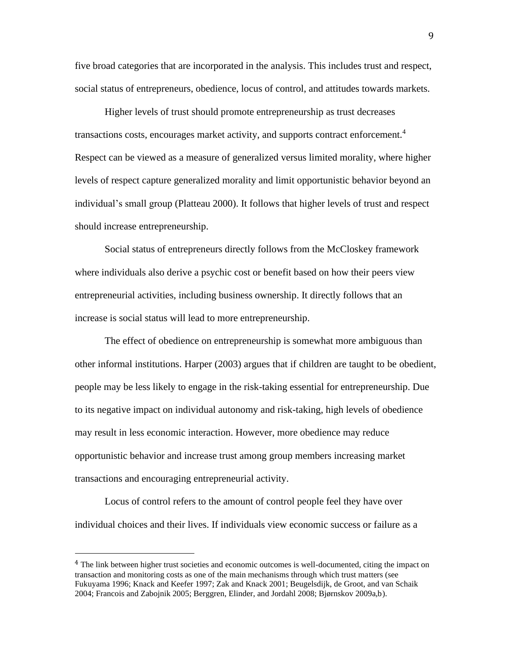five broad categories that are incorporated in the analysis. This includes trust and respect, social status of entrepreneurs, obedience, locus of control, and attitudes towards markets.

Higher levels of trust should promote entrepreneurship as trust decreases transactions costs, encourages market activity, and supports contract enforcement.<sup>4</sup> Respect can be viewed as a measure of generalized versus limited morality, where higher levels of respect capture generalized morality and limit opportunistic behavior beyond an individual's small group (Platteau 2000). It follows that higher levels of trust and respect should increase entrepreneurship.

Social status of entrepreneurs directly follows from the McCloskey framework where individuals also derive a psychic cost or benefit based on how their peers view entrepreneurial activities, including business ownership. It directly follows that an increase is social status will lead to more entrepreneurship.

The effect of obedience on entrepreneurship is somewhat more ambiguous than other informal institutions. Harper (2003) argues that if children are taught to be obedient, people may be less likely to engage in the risk-taking essential for entrepreneurship. Due to its negative impact on individual autonomy and risk-taking, high levels of obedience may result in less economic interaction. However, more obedience may reduce opportunistic behavior and increase trust among group members increasing market transactions and encouraging entrepreneurial activity.

Locus of control refers to the amount of control people feel they have over individual choices and their lives. If individuals view economic success or failure as a

<sup>&</sup>lt;sup>4</sup> The link between higher trust societies and economic outcomes is well-documented, citing the impact on transaction and monitoring costs as one of the main mechanisms through which trust matters (see Fukuyama 1996; Knack and Keefer 1997; Zak and Knack 2001; Beugelsdijk, de Groot, and van Schaik 2004; Francois and Zabojnik 2005; Berggren, Elinder, and Jordahl 2008; Bjørnskov 2009a,b).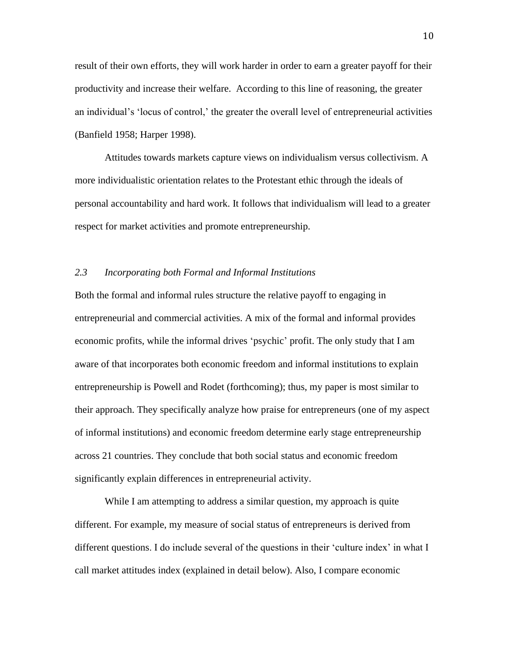result of their own efforts, they will work harder in order to earn a greater payoff for their productivity and increase their welfare. According to this line of reasoning, the greater an individual's 'locus of control,' the greater the overall level of entrepreneurial activities (Banfield 1958; Harper 1998).

Attitudes towards markets capture views on individualism versus collectivism. A more individualistic orientation relates to the Protestant ethic through the ideals of personal accountability and hard work. It follows that individualism will lead to a greater respect for market activities and promote entrepreneurship.

### *2.3 Incorporating both Formal and Informal Institutions*

Both the formal and informal rules structure the relative payoff to engaging in entrepreneurial and commercial activities. A mix of the formal and informal provides economic profits, while the informal drives 'psychic' profit. The only study that I am aware of that incorporates both economic freedom and informal institutions to explain entrepreneurship is Powell and Rodet (forthcoming); thus, my paper is most similar to their approach. They specifically analyze how praise for entrepreneurs (one of my aspect of informal institutions) and economic freedom determine early stage entrepreneurship across 21 countries. They conclude that both social status and economic freedom significantly explain differences in entrepreneurial activity.

While I am attempting to address a similar question, my approach is quite different. For example, my measure of social status of entrepreneurs is derived from different questions. I do include several of the questions in their 'culture index' in what I call market attitudes index (explained in detail below). Also, I compare economic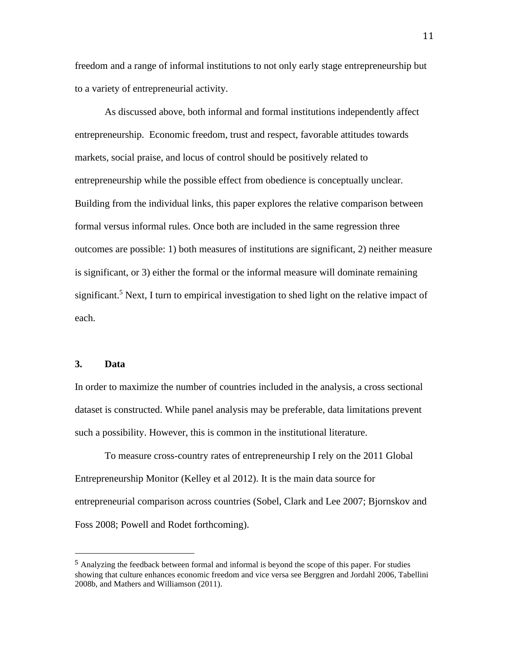freedom and a range of informal institutions to not only early stage entrepreneurship but to a variety of entrepreneurial activity.

As discussed above, both informal and formal institutions independently affect entrepreneurship. Economic freedom, trust and respect, favorable attitudes towards markets, social praise, and locus of control should be positively related to entrepreneurship while the possible effect from obedience is conceptually unclear. Building from the individual links, this paper explores the relative comparison between formal versus informal rules. Once both are included in the same regression three outcomes are possible: 1) both measures of institutions are significant, 2) neither measure is significant, or 3) either the formal or the informal measure will dominate remaining significant.<sup>5</sup> Next, I turn to empirical investigation to shed light on the relative impact of each.

#### **3. Data**

In order to maximize the number of countries included in the analysis, a cross sectional dataset is constructed. While panel analysis may be preferable, data limitations prevent such a possibility. However, this is common in the institutional literature.

To measure cross-country rates of entrepreneurship I rely on the 2011 Global Entrepreneurship Monitor (Kelley et al 2012). It is the main data source for entrepreneurial comparison across countries (Sobel, Clark and Lee 2007; Bjornskov and Foss 2008; Powell and Rodet forthcoming).

<sup>&</sup>lt;sup>5</sup> Analyzing the feedback between formal and informal is beyond the scope of this paper. For studies showing that culture enhances economic freedom and vice versa see Berggren and Jordahl 2006, Tabellini 2008b, and Mathers and Williamson (2011).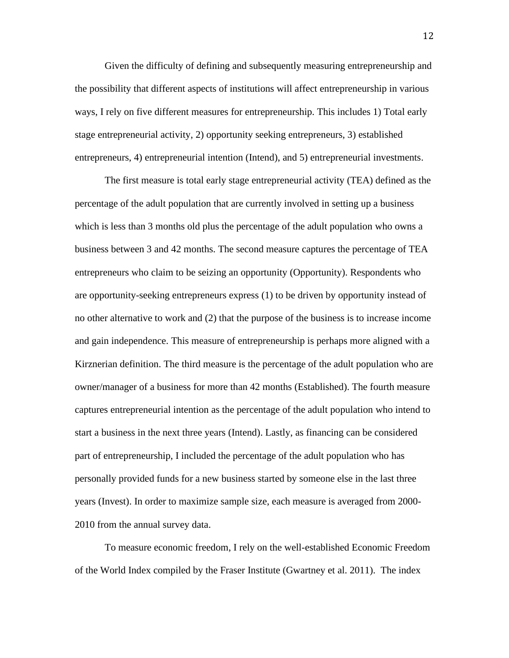Given the difficulty of defining and subsequently measuring entrepreneurship and the possibility that different aspects of institutions will affect entrepreneurship in various ways, I rely on five different measures for entrepreneurship. This includes 1) Total early stage entrepreneurial activity, 2) opportunity seeking entrepreneurs, 3) established entrepreneurs, 4) entrepreneurial intention (Intend), and 5) entrepreneurial investments.

The first measure is total early stage entrepreneurial activity (TEA) defined as the percentage of the adult population that are currently involved in setting up a business which is less than 3 months old plus the percentage of the adult population who owns a business between 3 and 42 months. The second measure captures the percentage of TEA entrepreneurs who claim to be seizing an opportunity (Opportunity). Respondents who are opportunity-seeking entrepreneurs express (1) to be driven by opportunity instead of no other alternative to work and (2) that the purpose of the business is to increase income and gain independence. This measure of entrepreneurship is perhaps more aligned with a Kirznerian definition. The third measure is the percentage of the adult population who are owner/manager of a business for more than 42 months (Established). The fourth measure captures entrepreneurial intention as the percentage of the adult population who intend to start a business in the next three years (Intend). Lastly, as financing can be considered part of entrepreneurship, I included the percentage of the adult population who has personally provided funds for a new business started by someone else in the last three years (Invest). In order to maximize sample size, each measure is averaged from 2000- 2010 from the annual survey data.

To measure economic freedom, I rely on the well-established Economic Freedom of the World Index compiled by the Fraser Institute (Gwartney et al. 2011). The index

12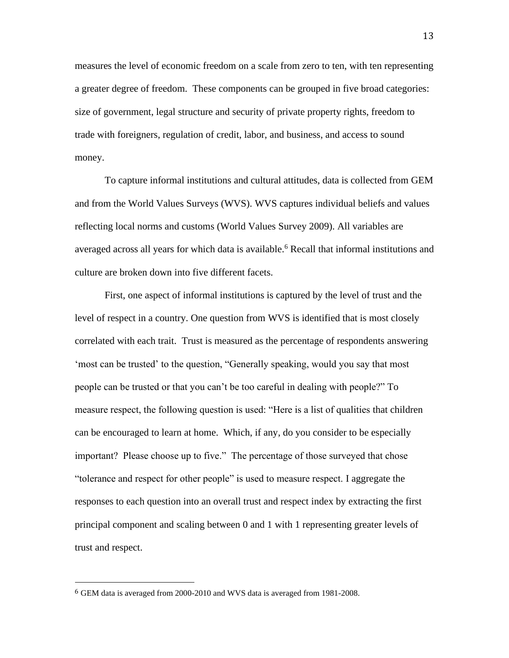measures the level of economic freedom on a scale from zero to ten, with ten representing a greater degree of freedom. These components can be grouped in five broad categories: size of government, legal structure and security of private property rights, freedom to trade with foreigners, regulation of credit, labor, and business, and access to sound money.

To capture informal institutions and cultural attitudes, data is collected from GEM and from the World Values Surveys (WVS). WVS captures individual beliefs and values reflecting local norms and customs (World Values Survey 2009). All variables are averaged across all years for which data is available.<sup>6</sup> Recall that informal institutions and culture are broken down into five different facets.

First, one aspect of informal institutions is captured by the level of trust and the level of respect in a country. One question from WVS is identified that is most closely correlated with each trait. Trust is measured as the percentage of respondents answering 'most can be trusted' to the question, "Generally speaking, would you say that most people can be trusted or that you can't be too careful in dealing with people?" To measure respect, the following question is used: "Here is a list of qualities that children can be encouraged to learn at home. Which, if any, do you consider to be especially important? Please choose up to five." The percentage of those surveyed that chose "tolerance and respect for other people" is used to measure respect. I aggregate the responses to each question into an overall trust and respect index by extracting the first principal component and scaling between 0 and 1 with 1 representing greater levels of trust and respect.

<sup>6</sup> GEM data is averaged from 2000-2010 and WVS data is averaged from 1981-2008.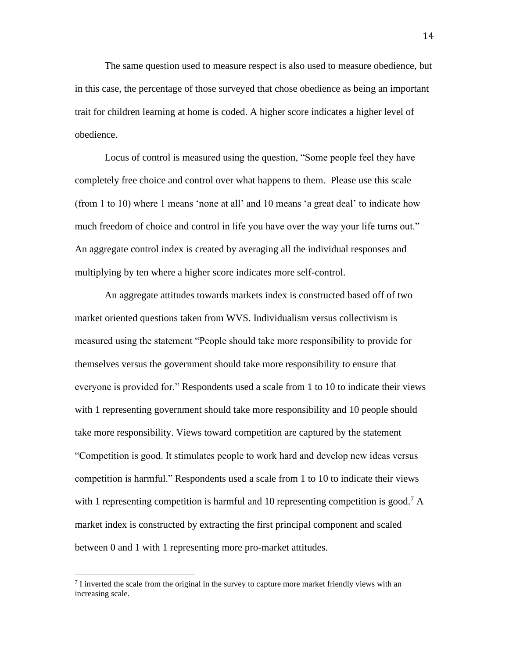The same question used to measure respect is also used to measure obedience, but in this case, the percentage of those surveyed that chose obedience as being an important trait for children learning at home is coded. A higher score indicates a higher level of obedience.

Locus of control is measured using the question, "Some people feel they have completely free choice and control over what happens to them. Please use this scale (from 1 to 10) where 1 means 'none at all' and 10 means 'a great deal' to indicate how much freedom of choice and control in life you have over the way your life turns out." An aggregate control index is created by averaging all the individual responses and multiplying by ten where a higher score indicates more self-control.

An aggregate attitudes towards markets index is constructed based off of two market oriented questions taken from WVS. Individualism versus collectivism is measured using the statement "People should take more responsibility to provide for themselves versus the government should take more responsibility to ensure that everyone is provided for." Respondents used a scale from 1 to 10 to indicate their views with 1 representing government should take more responsibility and 10 people should take more responsibility. Views toward competition are captured by the statement "Competition is good. It stimulates people to work hard and develop new ideas versus competition is harmful." Respondents used a scale from 1 to 10 to indicate their views with 1 representing competition is harmful and 10 representing competition is good.<sup>7</sup> A market index is constructed by extracting the first principal component and scaled between 0 and 1 with 1 representing more pro-market attitudes.

 $<sup>7</sup>$  I inverted the scale from the original in the survey to capture more market friendly views with an</sup> increasing scale.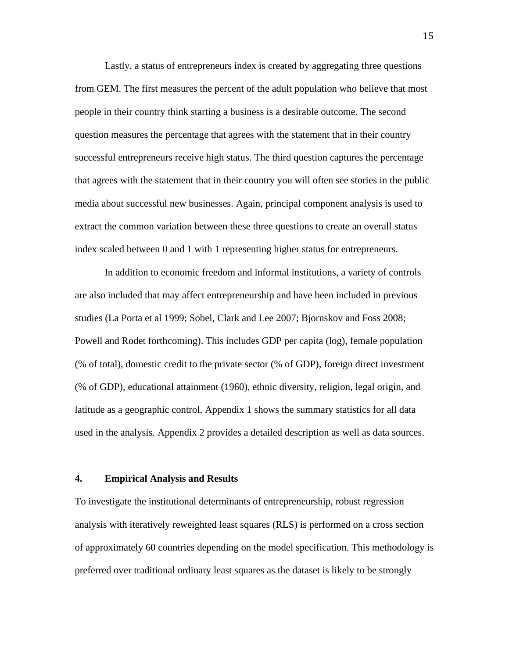Lastly, a status of entrepreneurs index is created by aggregating three questions from GEM. The first measures the percent of the adult population who believe that most people in their country think starting a business is a desirable outcome. The second question measures the percentage that agrees with the statement that in their country successful entrepreneurs receive high status. The third question captures the percentage that agrees with the statement that in their country you will often see stories in the public media about successful new businesses. Again, principal component analysis is used to extract the common variation between these three questions to create an overall status index scaled between 0 and 1 with 1 representing higher status for entrepreneurs.

In addition to economic freedom and informal institutions, a variety of controls are also included that may affect entrepreneurship and have been included in previous studies (La Porta et al 1999; Sobel, Clark and Lee 2007; Bjornskov and Foss 2008; Powell and Rodet forthcoming). This includes GDP per capita (log), female population (% of total), domestic credit to the private sector (% of GDP), foreign direct investment (% of GDP), educational attainment (1960), ethnic diversity, religion, legal origin, and latitude as a geographic control. Appendix 1 shows the summary statistics for all data used in the analysis. Appendix 2 provides a detailed description as well as data sources.

#### **4. Empirical Analysis and Results**

To investigate the institutional determinants of entrepreneurship, robust regression analysis with iteratively reweighted least squares (RLS) is performed on a cross section of approximately 60 countries depending on the model specification. This methodology is preferred over traditional ordinary least squares as the dataset is likely to be strongly

15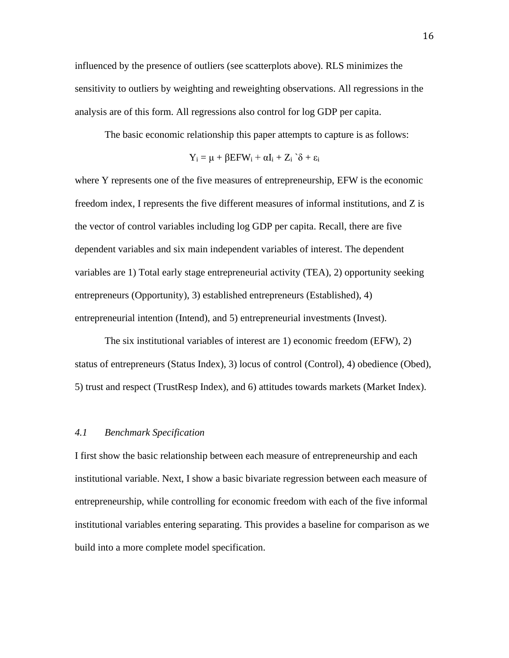influenced by the presence of outliers (see scatterplots above). RLS minimizes the sensitivity to outliers by weighting and reweighting observations. All regressions in the analysis are of this form. All regressions also control for log GDP per capita.

The basic economic relationship this paper attempts to capture is as follows:

$$
Y_i = \mu + \beta EFW_i + \alpha I_i + Z_i \hat{\delta} + \epsilon_i
$$

where Y represents one of the five measures of entrepreneurship, EFW is the economic freedom index, I represents the five different measures of informal institutions, and Z is the vector of control variables including log GDP per capita. Recall, there are five dependent variables and six main independent variables of interest. The dependent variables are 1) Total early stage entrepreneurial activity (TEA), 2) opportunity seeking entrepreneurs (Opportunity), 3) established entrepreneurs (Established), 4) entrepreneurial intention (Intend), and 5) entrepreneurial investments (Invest).

The six institutional variables of interest are 1) economic freedom (EFW), 2) status of entrepreneurs (Status Index), 3) locus of control (Control), 4) obedience (Obed), 5) trust and respect (TrustResp Index), and 6) attitudes towards markets (Market Index).

#### *4.1 Benchmark Specification*

I first show the basic relationship between each measure of entrepreneurship and each institutional variable. Next, I show a basic bivariate regression between each measure of entrepreneurship, while controlling for economic freedom with each of the five informal institutional variables entering separating. This provides a baseline for comparison as we build into a more complete model specification.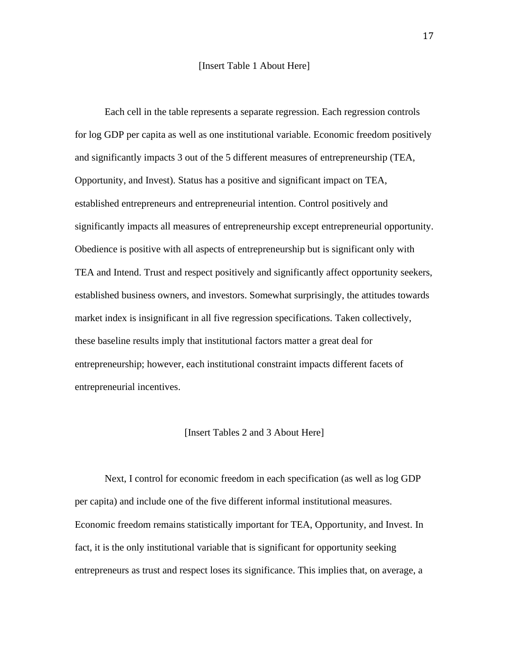#### [Insert Table 1 About Here]

Each cell in the table represents a separate regression. Each regression controls for log GDP per capita as well as one institutional variable. Economic freedom positively and significantly impacts 3 out of the 5 different measures of entrepreneurship (TEA, Opportunity, and Invest). Status has a positive and significant impact on TEA, established entrepreneurs and entrepreneurial intention. Control positively and significantly impacts all measures of entrepreneurship except entrepreneurial opportunity. Obedience is positive with all aspects of entrepreneurship but is significant only with TEA and Intend. Trust and respect positively and significantly affect opportunity seekers, established business owners, and investors. Somewhat surprisingly, the attitudes towards market index is insignificant in all five regression specifications. Taken collectively, these baseline results imply that institutional factors matter a great deal for entrepreneurship; however, each institutional constraint impacts different facets of entrepreneurial incentives.

#### [Insert Tables 2 and 3 About Here]

Next, I control for economic freedom in each specification (as well as log GDP per capita) and include one of the five different informal institutional measures. Economic freedom remains statistically important for TEA, Opportunity, and Invest. In fact, it is the only institutional variable that is significant for opportunity seeking entrepreneurs as trust and respect loses its significance. This implies that, on average, a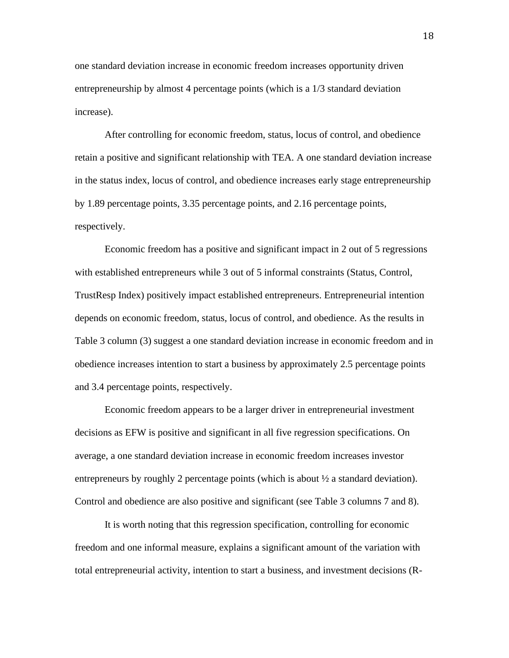one standard deviation increase in economic freedom increases opportunity driven entrepreneurship by almost 4 percentage points (which is a 1/3 standard deviation increase).

After controlling for economic freedom, status, locus of control, and obedience retain a positive and significant relationship with TEA. A one standard deviation increase in the status index, locus of control, and obedience increases early stage entrepreneurship by 1.89 percentage points, 3.35 percentage points, and 2.16 percentage points, respectively.

Economic freedom has a positive and significant impact in 2 out of 5 regressions with established entrepreneurs while 3 out of 5 informal constraints (Status, Control, TrustResp Index) positively impact established entrepreneurs. Entrepreneurial intention depends on economic freedom, status, locus of control, and obedience. As the results in Table 3 column (3) suggest a one standard deviation increase in economic freedom and in obedience increases intention to start a business by approximately 2.5 percentage points and 3.4 percentage points, respectively.

Economic freedom appears to be a larger driver in entrepreneurial investment decisions as EFW is positive and significant in all five regression specifications. On average, a one standard deviation increase in economic freedom increases investor entrepreneurs by roughly 2 percentage points (which is about ½ a standard deviation). Control and obedience are also positive and significant (see Table 3 columns 7 and 8).

It is worth noting that this regression specification, controlling for economic freedom and one informal measure, explains a significant amount of the variation with total entrepreneurial activity, intention to start a business, and investment decisions (R-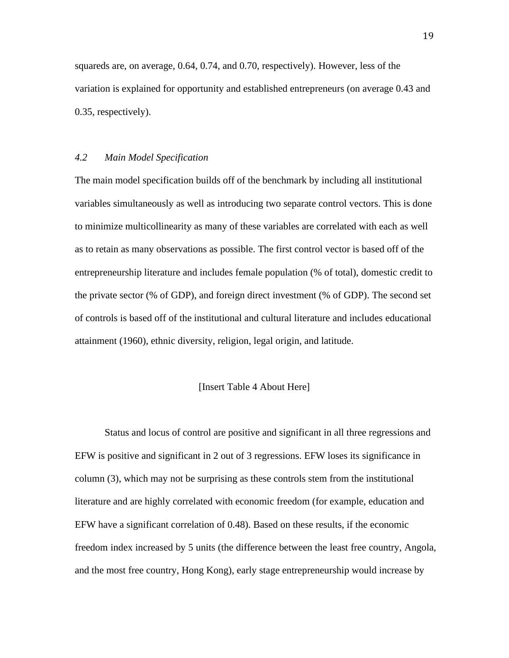squareds are, on average, 0.64, 0.74, and 0.70, respectively). However, less of the variation is explained for opportunity and established entrepreneurs (on average 0.43 and 0.35, respectively).

### *4.2 Main Model Specification*

The main model specification builds off of the benchmark by including all institutional variables simultaneously as well as introducing two separate control vectors. This is done to minimize multicollinearity as many of these variables are correlated with each as well as to retain as many observations as possible. The first control vector is based off of the entrepreneurship literature and includes female population (% of total), domestic credit to the private sector (% of GDP), and foreign direct investment (% of GDP). The second set of controls is based off of the institutional and cultural literature and includes educational attainment (1960), ethnic diversity, religion, legal origin, and latitude.

#### [Insert Table 4 About Here]

Status and locus of control are positive and significant in all three regressions and EFW is positive and significant in 2 out of 3 regressions. EFW loses its significance in column (3), which may not be surprising as these controls stem from the institutional literature and are highly correlated with economic freedom (for example, education and EFW have a significant correlation of 0.48). Based on these results, if the economic freedom index increased by 5 units (the difference between the least free country, Angola, and the most free country, Hong Kong), early stage entrepreneurship would increase by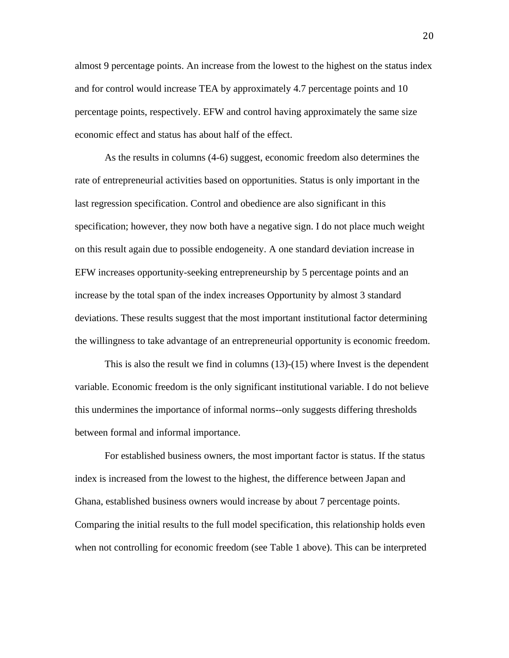almost 9 percentage points. An increase from the lowest to the highest on the status index and for control would increase TEA by approximately 4.7 percentage points and 10 percentage points, respectively. EFW and control having approximately the same size economic effect and status has about half of the effect.

As the results in columns (4-6) suggest, economic freedom also determines the rate of entrepreneurial activities based on opportunities. Status is only important in the last regression specification. Control and obedience are also significant in this specification; however, they now both have a negative sign. I do not place much weight on this result again due to possible endogeneity. A one standard deviation increase in EFW increases opportunity-seeking entrepreneurship by 5 percentage points and an increase by the total span of the index increases Opportunity by almost 3 standard deviations. These results suggest that the most important institutional factor determining the willingness to take advantage of an entrepreneurial opportunity is economic freedom.

This is also the result we find in columns (13)-(15) where Invest is the dependent variable. Economic freedom is the only significant institutional variable. I do not believe this undermines the importance of informal norms--only suggests differing thresholds between formal and informal importance.

For established business owners, the most important factor is status. If the status index is increased from the lowest to the highest, the difference between Japan and Ghana, established business owners would increase by about 7 percentage points. Comparing the initial results to the full model specification, this relationship holds even when not controlling for economic freedom (see Table 1 above). This can be interpreted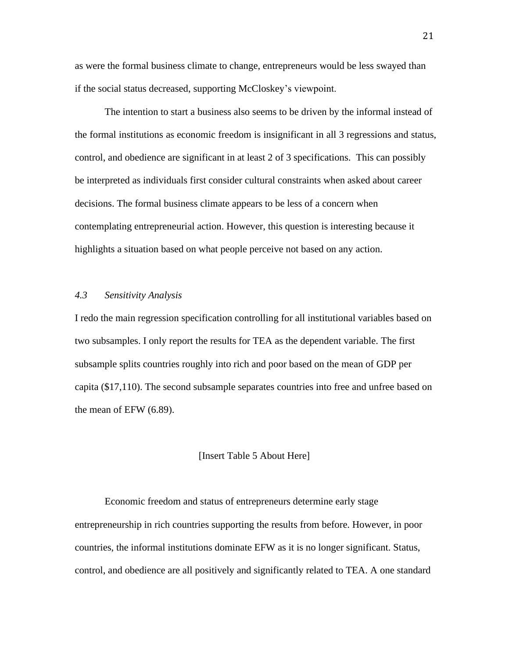as were the formal business climate to change, entrepreneurs would be less swayed than if the social status decreased, supporting McCloskey's viewpoint.

The intention to start a business also seems to be driven by the informal instead of the formal institutions as economic freedom is insignificant in all 3 regressions and status, control, and obedience are significant in at least 2 of 3 specifications. This can possibly be interpreted as individuals first consider cultural constraints when asked about career decisions. The formal business climate appears to be less of a concern when contemplating entrepreneurial action. However, this question is interesting because it highlights a situation based on what people perceive not based on any action.

#### *4.3 Sensitivity Analysis*

I redo the main regression specification controlling for all institutional variables based on two subsamples. I only report the results for TEA as the dependent variable. The first subsample splits countries roughly into rich and poor based on the mean of GDP per capita (\$17,110). The second subsample separates countries into free and unfree based on the mean of EFW (6.89).

#### [Insert Table 5 About Here]

Economic freedom and status of entrepreneurs determine early stage entrepreneurship in rich countries supporting the results from before. However, in poor countries, the informal institutions dominate EFW as it is no longer significant. Status, control, and obedience are all positively and significantly related to TEA. A one standard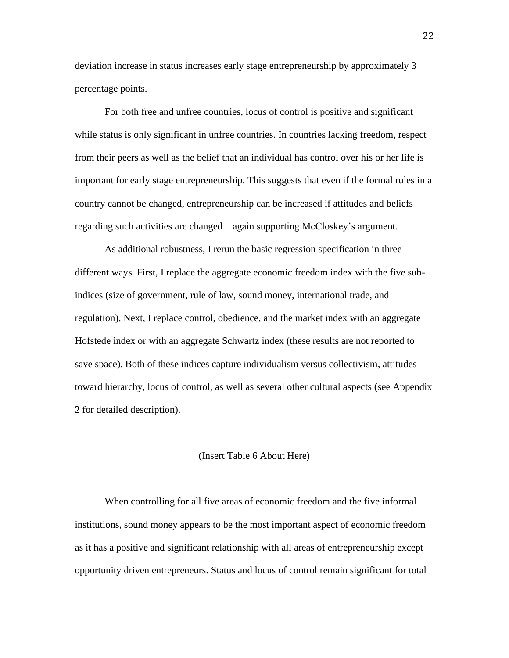deviation increase in status increases early stage entrepreneurship by approximately 3 percentage points.

For both free and unfree countries, locus of control is positive and significant while status is only significant in unfree countries. In countries lacking freedom, respect from their peers as well as the belief that an individual has control over his or her life is important for early stage entrepreneurship. This suggests that even if the formal rules in a country cannot be changed, entrepreneurship can be increased if attitudes and beliefs regarding such activities are changed—again supporting McCloskey's argument.

As additional robustness, I rerun the basic regression specification in three different ways. First, I replace the aggregate economic freedom index with the five subindices (size of government, rule of law, sound money, international trade, and regulation). Next, I replace control, obedience, and the market index with an aggregate Hofstede index or with an aggregate Schwartz index (these results are not reported to save space). Both of these indices capture individualism versus collectivism, attitudes toward hierarchy, locus of control, as well as several other cultural aspects (see Appendix 2 for detailed description).

#### (Insert Table 6 About Here)

When controlling for all five areas of economic freedom and the five informal institutions, sound money appears to be the most important aspect of economic freedom as it has a positive and significant relationship with all areas of entrepreneurship except opportunity driven entrepreneurs. Status and locus of control remain significant for total

22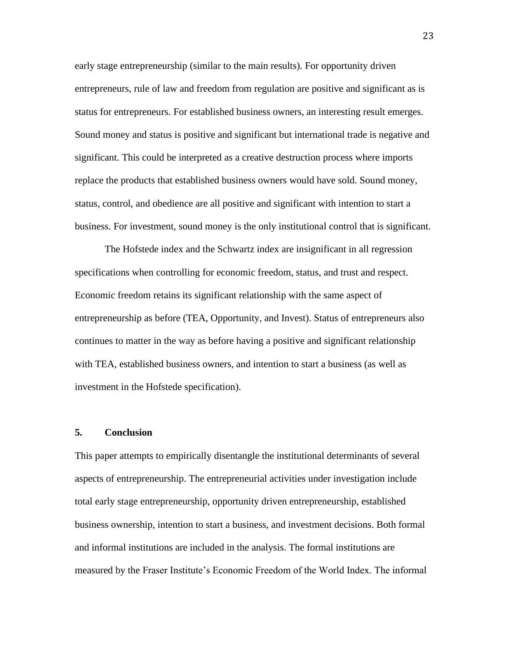early stage entrepreneurship (similar to the main results). For opportunity driven entrepreneurs, rule of law and freedom from regulation are positive and significant as is status for entrepreneurs. For established business owners, an interesting result emerges. Sound money and status is positive and significant but international trade is negative and significant. This could be interpreted as a creative destruction process where imports replace the products that established business owners would have sold. Sound money, status, control, and obedience are all positive and significant with intention to start a business. For investment, sound money is the only institutional control that is significant.

The Hofstede index and the Schwartz index are insignificant in all regression specifications when controlling for economic freedom, status, and trust and respect. Economic freedom retains its significant relationship with the same aspect of entrepreneurship as before (TEA, Opportunity, and Invest). Status of entrepreneurs also continues to matter in the way as before having a positive and significant relationship with TEA, established business owners, and intention to start a business (as well as investment in the Hofstede specification).

#### **5. Conclusion**

This paper attempts to empirically disentangle the institutional determinants of several aspects of entrepreneurship. The entrepreneurial activities under investigation include total early stage entrepreneurship, opportunity driven entrepreneurship, established business ownership, intention to start a business, and investment decisions. Both formal and informal institutions are included in the analysis. The formal institutions are measured by the Fraser Institute's Economic Freedom of the World Index. The informal

23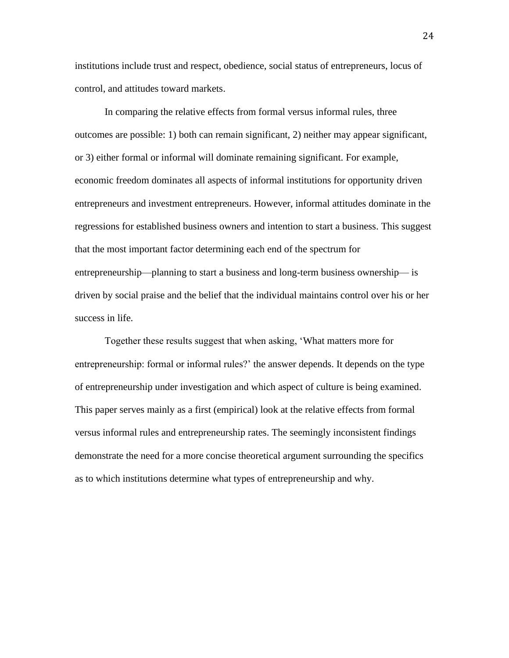institutions include trust and respect, obedience, social status of entrepreneurs, locus of control, and attitudes toward markets.

In comparing the relative effects from formal versus informal rules, three outcomes are possible: 1) both can remain significant, 2) neither may appear significant, or 3) either formal or informal will dominate remaining significant. For example, economic freedom dominates all aspects of informal institutions for opportunity driven entrepreneurs and investment entrepreneurs. However, informal attitudes dominate in the regressions for established business owners and intention to start a business. This suggest that the most important factor determining each end of the spectrum for entrepreneurship—planning to start a business and long-term business ownership— is driven by social praise and the belief that the individual maintains control over his or her success in life.

Together these results suggest that when asking, 'What matters more for entrepreneurship: formal or informal rules?' the answer depends. It depends on the type of entrepreneurship under investigation and which aspect of culture is being examined. This paper serves mainly as a first (empirical) look at the relative effects from formal versus informal rules and entrepreneurship rates. The seemingly inconsistent findings demonstrate the need for a more concise theoretical argument surrounding the specifics as to which institutions determine what types of entrepreneurship and why.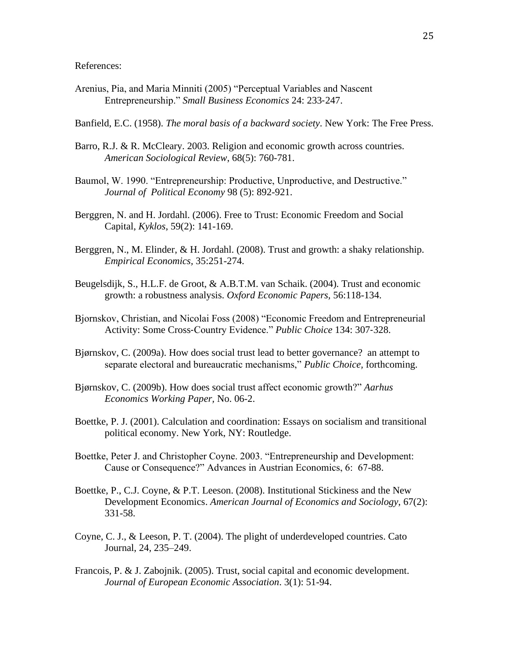References:

Arenius, Pia, and Maria Minniti (2005) "Perceptual Variables and Nascent Entrepreneurship." *Small Business Economics* 24: 233‐247.

Banfield, E.C. (1958). *The moral basis of a backward society*. New York: The Free Press.

- Barro, R.J. & R. McCleary. 2003. Religion and economic growth across countries. *American Sociological Review*, 68(5): 760-781.
- Baumol, W. 1990. "Entrepreneurship: Productive, Unproductive, and Destructive." *Journal of Political Economy* 98 (5): 892-921.
- Berggren, N. and H. Jordahl. (2006). Free to Trust: Economic Freedom and Social Capital, *Kyklos*, 59(2): 141-169.
- Berggren, N., M. Elinder, & H. Jordahl. (2008). Trust and growth: a shaky relationship. *Empirical Economics,* 35:251-274.
- Beugelsdijk, S., H.L.F. de Groot, & A.B.T.M. van Schaik. (2004). Trust and economic growth: a robustness analysis. *Oxford Economic Papers,* 56:118-134.
- Bjornskov, Christian, and Nicolai Foss (2008) "Economic Freedom and Entrepreneurial Activity: Some Cross‐Country Evidence." *Public Choice* 134: 307‐328.
- Bjørnskov, C. (2009a). How does social trust lead to better governance? an attempt to separate electoral and bureaucratic mechanisms," *Public Choice,* forthcoming.
- Bjørnskov, C. (2009b). How does social trust affect economic growth?" *Aarhus Economics Working Paper,* No. 06-2.
- Boettke, P. J. (2001). Calculation and coordination: Essays on socialism and transitional political economy. New York, NY: Routledge.
- Boettke, Peter J. and Christopher Coyne. 2003. "Entrepreneurship and Development: Cause or Consequence?" Advances in Austrian Economics, 6: 67-88.
- Boettke, P., C.J. Coyne, & P.T. Leeson. (2008). Institutional Stickiness and the New Development Economics. *American Journal of Economics and Sociology*, 67(2): 331-58.
- Coyne, C. J., & Leeson, P. T. (2004). The plight of underdeveloped countries. Cato Journal, 24, 235–249.
- Francois, P. & J. Zabojnik. (2005). Trust, social capital and economic development. *Journal of European Economic Association*. 3(1): 51-94.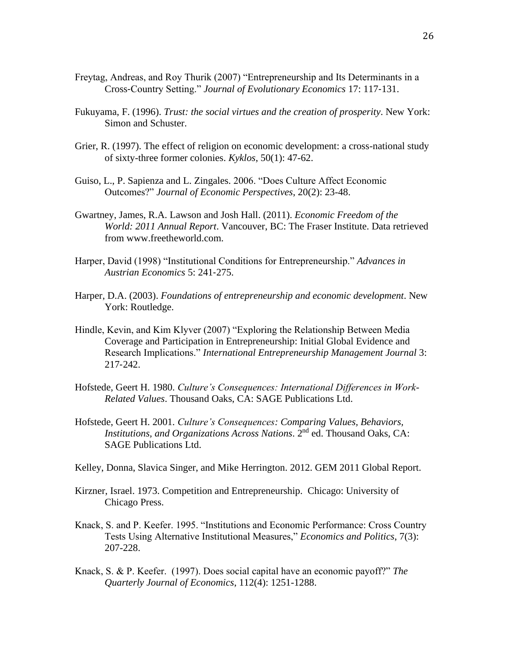- Freytag, Andreas, and Roy Thurik (2007) "Entrepreneurship and Its Determinants in a Cross‐Country Setting." *Journal of Evolutionary Economics* 17: 117‐131.
- Fukuyama, F. (1996). *Trust: the social virtues and the creation of prosperity*. New York: Simon and Schuster.
- Grier, R. (1997). The effect of religion on economic development: a cross-national study of sixty-three former colonies. *Kyklos*, 50(1): 47-62.
- Guiso, L., P. Sapienza and L. Zingales. 2006. "Does Culture Affect Economic Outcomes?" *Journal of Economic Perspectives*, 20(2): 23-48.
- Gwartney, James, R.A. Lawson and Josh Hall. (2011). *Economic Freedom of the World: 2011 Annual Report*. Vancouver, BC: The Fraser Institute. Data retrieved from www.freetheworld.com.
- Harper, David (1998) "Institutional Conditions for Entrepreneurship." *Advances in Austrian Economics* 5: 241‐275.
- Harper, D.A. (2003). *Foundations of entrepreneurship and economic development*. New York: Routledge.
- Hindle, Kevin, and Kim Klyver (2007) "Exploring the Relationship Between Media Coverage and Participation in Entrepreneurship: Initial Global Evidence and Research Implications." *International Entrepreneurship Management Journal* 3: 217‐242.
- Hofstede, Geert H. 1980. *Culture's Consequences: International Differences in Work-Related Values*. Thousand Oaks, CA: SAGE Publications Ltd.
- Hofstede, Geert H. 2001. *Culture's Consequences: Comparing Values, Behaviors, Institutions, and Organizations Across Nations*. 2nd ed. Thousand Oaks, CA: SAGE Publications Ltd.
- Kelley, Donna, Slavica Singer, and Mike Herrington. 2012. GEM 2011 Global Report.
- Kirzner, Israel. 1973. Competition and Entrepreneurship. Chicago: University of Chicago Press.
- Knack, S. and P. Keefer. 1995. "Institutions and Economic Performance: Cross Country Tests Using Alternative Institutional Measures," *Economics and Politics*, 7(3): 207-228.
- Knack, S. & P. Keefer. (1997). Does social capital have an economic payoff?" *The Quarterly Journal of Economics*, 112(4): 1251-1288.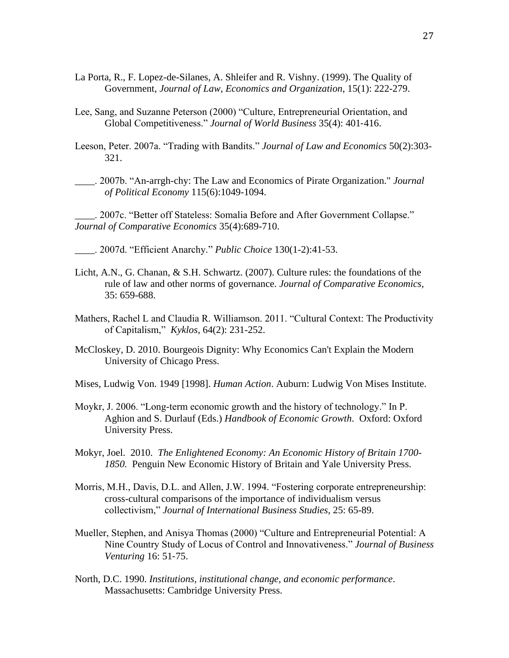- La Porta, R., F. Lopez-de-Silanes, A. Shleifer and R. Vishny. (1999). The Quality of Government, *Journal of Law, Economics and Organization*, 15(1): 222-279.
- Lee, Sang, and Suzanne Peterson (2000) "Culture, Entrepreneurial Orientation, and Global Competitiveness." *Journal of World Business* 35(4): 401‐416.
- Leeson, Peter. 2007a. "Trading with Bandits." *Journal of Law and Economics* 50(2):303- 321.
- \_\_\_\_. 2007b. "An-arrgh-chy: The Law and Economics of Pirate Organization." *Journal of Political Economy* 115(6):1049-1094.

\_\_\_\_. 2007c. "Better off Stateless: Somalia Before and After Government Collapse." *Journal of Comparative Economics* 35(4):689-710.

- \_\_\_\_. 2007d. "Efficient Anarchy." *Public Choice* 130(1-2):41-53.
- Licht, A.N., G. Chanan, & S.H. Schwartz. (2007). Culture rules: the foundations of the rule of law and other norms of governance. *Journal of Comparative Economics*, 35: 659-688.
- Mathers, Rachel L and Claudia R. Williamson. 2011. "Cultural Context: The Productivity of Capitalism," *Kyklos*, 64(2): 231-252.
- McCloskey, D. 2010. Bourgeois Dignity: Why Economics Can't Explain the Modern University of Chicago Press.
- Mises, Ludwig Von. 1949 [1998]. *Human Action*. Auburn: Ludwig Von Mises Institute.
- Moykr, J. 2006. "Long-term economic growth and the history of technology." In P. Aghion and S. Durlauf (Eds.) *Handbook of Economic Growth*. Oxford: Oxford University Press.
- Mokyr, Joel. 2010. *The Enlightened Economy: An Economic History of Britain 1700- 1850.* Penguin New Economic History of Britain and Yale University Press.
- Morris, M.H., Davis, D.L. and Allen, J.W. 1994. "Fostering corporate entrepreneurship: cross-cultural comparisons of the importance of individualism versus collectivism," *Journal of International Business Studies*, 25: 65-89.
- Mueller, Stephen, and Anisya Thomas (2000) "Culture and Entrepreneurial Potential: A Nine Country Study of Locus of Control and Innovativeness." *Journal of Business Venturing* 16: 51‐75.
- North, D.C. 1990. *Institutions, institutional change, and economic performance*. Massachusetts: Cambridge University Press.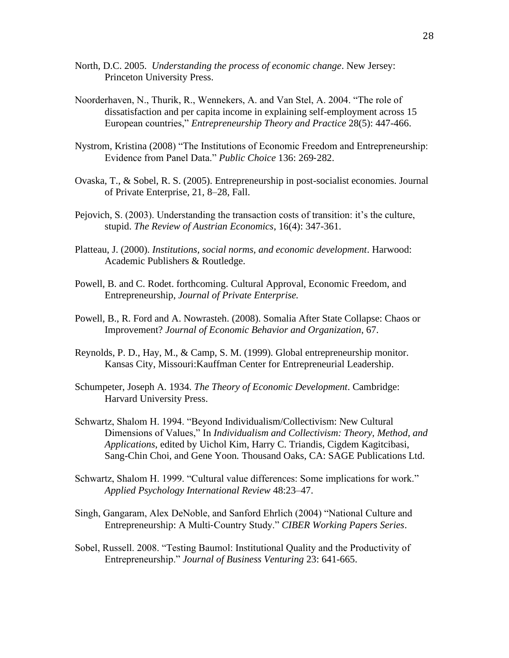- North, D.C. 2005. *Understanding the process of economic change*. New Jersey: Princeton University Press.
- Noorderhaven, N., Thurik, R., Wennekers, A. and Van Stel, A. 2004. "The role of dissatisfaction and per capita income in explaining self-employment across 15 European countries," *Entrepreneurship Theory and Practice* 28(5): 447-466.
- Nystrom, Kristina (2008) "The Institutions of Economic Freedom and Entrepreneurship: Evidence from Panel Data." *Public Choice* 136: 269‐282.
- Ovaska, T., & Sobel, R. S. (2005). Entrepreneurship in post-socialist economies. Journal of Private Enterprise, 21, 8–28, Fall.
- Pejovich, S. (2003). Understanding the transaction costs of transition: it's the culture, stupid. *The Review of Austrian Economics*, 16(4): 347-361.
- Platteau, J. (2000). *Institutions, social norms, and economic development*. Harwood: Academic Publishers & Routledge.
- Powell, B. and C. Rodet. forthcoming. Cultural Approval, Economic Freedom, and Entrepreneurship, *Journal of Private Enterprise.*
- Powell, B., R. Ford and A. Nowrasteh. (2008). Somalia After State Collapse: Chaos or Improvement? *Journal of Economic Behavior and Organization*, 67.
- Reynolds, P. D., Hay, M., & Camp, S. M. (1999). Global entrepreneurship monitor. Kansas City, Missouri:Kauffman Center for Entrepreneurial Leadership.
- Schumpeter, Joseph A. 1934. *The Theory of Economic Development*. Cambridge: Harvard University Press.
- Schwartz, Shalom H. 1994. "Beyond Individualism/Collectivism: New Cultural Dimensions of Values," In *Individualism and Collectivism: Theory, Method, and Applications*, edited by Uichol Kim, Harry C. Triandis, Cigdem Kagitcibasi, Sang-Chin Choi, and Gene Yoon*.* Thousand Oaks, CA: SAGE Publications Ltd.
- Schwartz, Shalom H. 1999. "Cultural value differences: Some implications for work." *Applied Psychology International Review* 48:23–47.
- Singh, Gangaram, Alex DeNoble, and Sanford Ehrlich (2004) "National Culture and Entrepreneurship: A Multi‐Country Study." *CIBER Working Papers Series*.
- Sobel, Russell. 2008. "Testing Baumol: Institutional Quality and the Productivity of Entrepreneurship." *Journal of Business Venturing* 23: 641-665.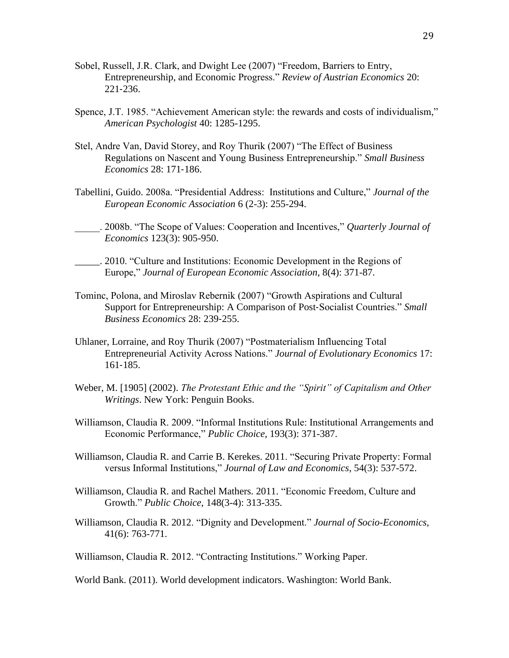- Sobel, Russell, J.R. Clark, and Dwight Lee (2007) "Freedom, Barriers to Entry, Entrepreneurship, and Economic Progress." *Review of Austrian Economics* 20: 221‐236.
- Spence, J.T. 1985. "Achievement American style: the rewards and costs of individualism," *American Psychologist* 40: 1285-1295.
- Stel, Andre Van, David Storey, and Roy Thurik (2007) "The Effect of Business Regulations on Nascent and Young Business Entrepreneurship." *Small Business Economics* 28: 171‐186.
- Tabellini, Guido. 2008a. "Presidential Address: Institutions and Culture," *Journal of the European Economic Association* 6 (2-3): 255-294.
- \_\_\_\_\_. 2008b. "The Scope of Values: Cooperation and Incentives," *Quarterly Journal of Economics* 123(3): 905-950.
- \_\_\_\_\_. 2010. "Culture and Institutions: Economic Development in the Regions of Europe," *Journal of European Economic Association*, 8(4): 371-87.
- Tominc, Polona, and Miroslav Rebernik (2007) "Growth Aspirations and Cultural Support for Entrepreneurship: A Comparison of Post‐Socialist Countries." *Small Business Economics* 28: 239‐255.
- Uhlaner, Lorraine, and Roy Thurik (2007) "Postmaterialism Influencing Total Entrepreneurial Activity Across Nations." *Journal of Evolutionary Economics* 17: 161‐185.
- Weber, M. [1905] (2002). *The Protestant Ethic and the "Spirit" of Capitalism and Other Writings*. New York: Penguin Books.
- Williamson, Claudia R. 2009. "Informal Institutions Rule: Institutional Arrangements and Economic Performance," *Public Choice*, 193(3): 371-387.
- Williamson, Claudia R. and Carrie B. Kerekes. 2011. "Securing Private Property: Formal versus Informal Institutions," *Journal of Law and Economics*, 54(3): 537-572.
- Williamson, Claudia R. and Rachel Mathers. 2011. "Economic Freedom, Culture and Growth." *Public Choice*, 148(3-4): 313-335.
- Williamson, Claudia R. 2012. "Dignity and Development." *Journal of Socio-Economics,*  41(6): 763-771.

Williamson, Claudia R. 2012. "Contracting Institutions." Working Paper.

World Bank. (2011). World development indicators. Washington: World Bank.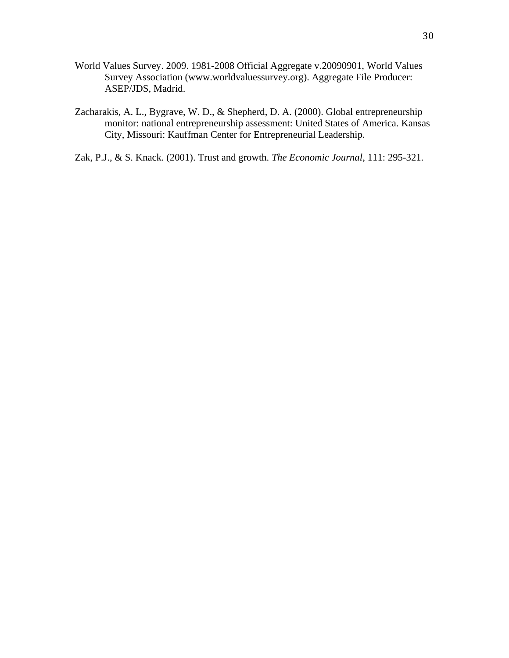- World Values Survey. 2009. 1981-2008 Official Aggregate v.20090901, World Values Survey Association (www.worldvaluessurvey.org). Aggregate File Producer: ASEP/JDS, Madrid.
- Zacharakis, A. L., Bygrave, W. D., & Shepherd, D. A. (2000). Global entrepreneurship monitor: national entrepreneurship assessment: United States of America. Kansas City, Missouri: Kauffman Center for Entrepreneurial Leadership.
- Zak, P.J., & S. Knack. (2001). Trust and growth. *The Economic Journal*, 111: 295-321.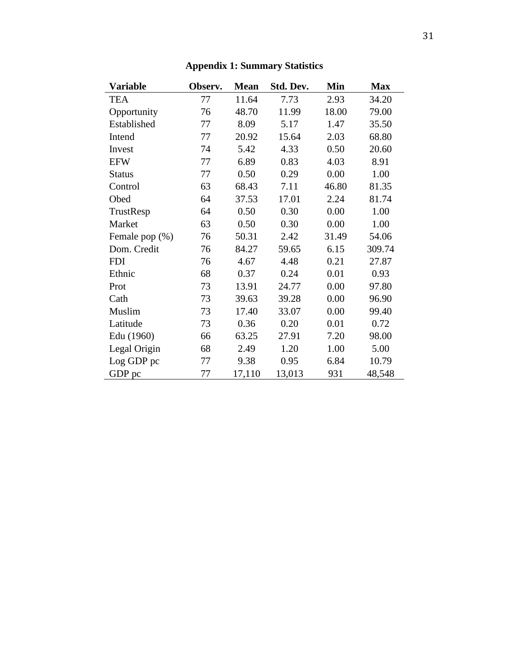| <b>Variable</b> | Observ. | <b>Mean</b> | Std. Dev. | Min   | <b>Max</b> |
|-----------------|---------|-------------|-----------|-------|------------|
| <b>TEA</b>      | 77      | 11.64       | 7.73      | 2.93  | 34.20      |
| Opportunity     | 76      | 48.70       | 11.99     | 18.00 | 79.00      |
| Established     | 77      | 8.09        | 5.17      | 1.47  | 35.50      |
| Intend          | 77      | 20.92       | 15.64     | 2.03  | 68.80      |
| Invest          | 74      | 5.42        | 4.33      | 0.50  | 20.60      |
| <b>EFW</b>      | 77      | 6.89        | 0.83      | 4.03  | 8.91       |
| <b>Status</b>   | 77      | 0.50        | 0.29      | 0.00  | 1.00       |
| Control         | 63      | 68.43       | 7.11      | 46.80 | 81.35      |
| Obed            | 64      | 37.53       | 17.01     | 2.24  | 81.74      |
| TrustResp       | 64      | 0.50        | 0.30      | 0.00  | 1.00       |
| Market          | 63      | 0.50        | 0.30      | 0.00  | 1.00       |
| Female pop (%)  | 76      | 50.31       | 2.42      | 31.49 | 54.06      |
| Dom. Credit     | 76      | 84.27       | 59.65     | 6.15  | 309.74     |
| <b>FDI</b>      | 76      | 4.67        | 4.48      | 0.21  | 27.87      |
| Ethnic          | 68      | 0.37        | 0.24      | 0.01  | 0.93       |
| Prot            | 73      | 13.91       | 24.77     | 0.00  | 97.80      |
| Cath            | 73      | 39.63       | 39.28     | 0.00  | 96.90      |
| Muslim          | 73      | 17.40       | 33.07     | 0.00  | 99.40      |
| Latitude        | 73      | 0.36        | 0.20      | 0.01  | 0.72       |
| Edu (1960)      | 66      | 63.25       | 27.91     | 7.20  | 98.00      |
| Legal Origin    | 68      | 2.49        | 1.20      | 1.00  | 5.00       |
| Log GDP pc      | 77      | 9.38        | 0.95      | 6.84  | 10.79      |
| GDP pc          | 77      | 17,110      | 13,013    | 931   | 48,548     |

## **Appendix 1: Summary Statistics**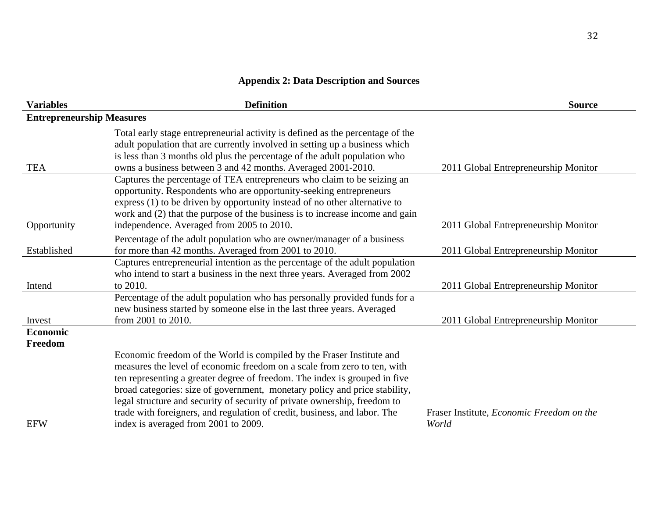# **Appendix 2: Data Description and Sources**

| <b>Variables</b>                 | <b>Definition</b>                                                                                                                                                                                                                                                                                                                                                                                                                                                                                               | <b>Source</b>                                      |
|----------------------------------|-----------------------------------------------------------------------------------------------------------------------------------------------------------------------------------------------------------------------------------------------------------------------------------------------------------------------------------------------------------------------------------------------------------------------------------------------------------------------------------------------------------------|----------------------------------------------------|
| <b>Entrepreneurship Measures</b> |                                                                                                                                                                                                                                                                                                                                                                                                                                                                                                                 |                                                    |
| <b>TEA</b>                       | Total early stage entrepreneurial activity is defined as the percentage of the<br>adult population that are currently involved in setting up a business which<br>is less than 3 months old plus the percentage of the adult population who<br>owns a business between 3 and 42 months. Averaged 2001-2010.                                                                                                                                                                                                      | 2011 Global Entrepreneurship Monitor               |
| Opportunity                      | Captures the percentage of TEA entrepreneurs who claim to be seizing an<br>opportunity. Respondents who are opportunity-seeking entrepreneurs<br>express (1) to be driven by opportunity instead of no other alternative to<br>work and (2) that the purpose of the business is to increase income and gain<br>independence. Averaged from 2005 to 2010.                                                                                                                                                        | 2011 Global Entrepreneurship Monitor               |
| Established                      | Percentage of the adult population who are owner/manager of a business<br>for more than 42 months. Averaged from 2001 to 2010.                                                                                                                                                                                                                                                                                                                                                                                  | 2011 Global Entrepreneurship Monitor               |
| Intend                           | Captures entrepreneurial intention as the percentage of the adult population<br>who intend to start a business in the next three years. Averaged from 2002<br>to 2010.                                                                                                                                                                                                                                                                                                                                          | 2011 Global Entrepreneurship Monitor               |
| Invest                           | Percentage of the adult population who has personally provided funds for a<br>new business started by someone else in the last three years. Averaged<br>from 2001 to 2010.                                                                                                                                                                                                                                                                                                                                      | 2011 Global Entrepreneurship Monitor               |
| <b>Economic</b><br>Freedom       |                                                                                                                                                                                                                                                                                                                                                                                                                                                                                                                 |                                                    |
| <b>EFW</b>                       | Economic freedom of the World is compiled by the Fraser Institute and<br>measures the level of economic freedom on a scale from zero to ten, with<br>ten representing a greater degree of freedom. The index is grouped in five<br>broad categories: size of government, monetary policy and price stability,<br>legal structure and security of security of private ownership, freedom to<br>trade with foreigners, and regulation of credit, business, and labor. The<br>index is averaged from 2001 to 2009. | Fraser Institute, Economic Freedom on the<br>World |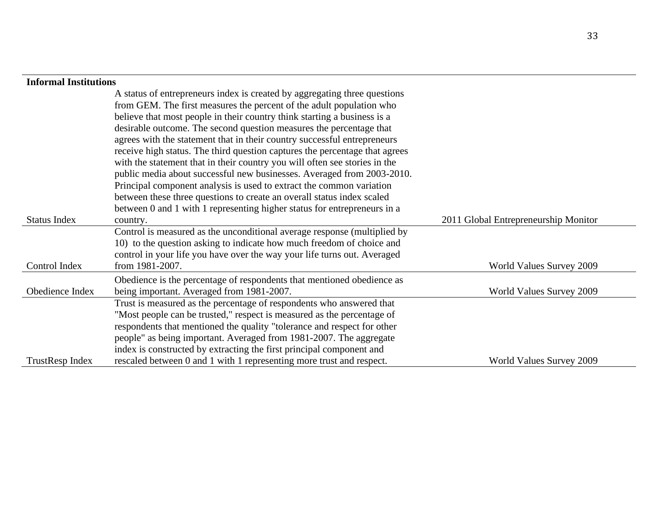## **Informal Institutions**

|                     | A status of entrepreneurs index is created by aggregating three questions   |                                      |
|---------------------|-----------------------------------------------------------------------------|--------------------------------------|
|                     | from GEM. The first measures the percent of the adult population who        |                                      |
|                     | believe that most people in their country think starting a business is a    |                                      |
|                     | desirable outcome. The second question measures the percentage that         |                                      |
|                     | agrees with the statement that in their country successful entrepreneurs    |                                      |
|                     | receive high status. The third question captures the percentage that agrees |                                      |
|                     | with the statement that in their country you will often see stories in the  |                                      |
|                     | public media about successful new businesses. Averaged from 2003-2010.      |                                      |
|                     | Principal component analysis is used to extract the common variation        |                                      |
|                     | between these three questions to create an overall status index scaled      |                                      |
|                     | between 0 and 1 with 1 representing higher status for entrepreneurs in a    |                                      |
| <b>Status Index</b> | country.                                                                    | 2011 Global Entrepreneurship Monitor |
|                     | Control is measured as the unconditional average response (multiplied by    |                                      |
|                     | 10) to the question asking to indicate how much freedom of choice and       |                                      |
|                     | control in your life you have over the way your life turns out. Averaged    |                                      |
| Control Index       | from 1981-2007.                                                             | World Values Survey 2009             |
|                     | Obedience is the percentage of respondents that mentioned obedience as      |                                      |
| Obedience Index     | being important. Averaged from 1981-2007.                                   | World Values Survey 2009             |
|                     | Trust is measured as the percentage of respondents who answered that        |                                      |
|                     | "Most people can be trusted," respect is measured as the percentage of      |                                      |
|                     | respondents that mentioned the quality "tolerance and respect for other     |                                      |
|                     | people" as being important. Averaged from 1981-2007. The aggregate          |                                      |
|                     | index is constructed by extracting the first principal component and        |                                      |
| TrustResp Index     | rescaled between 0 and 1 with 1 representing more trust and respect.        | World Values Survey 2009             |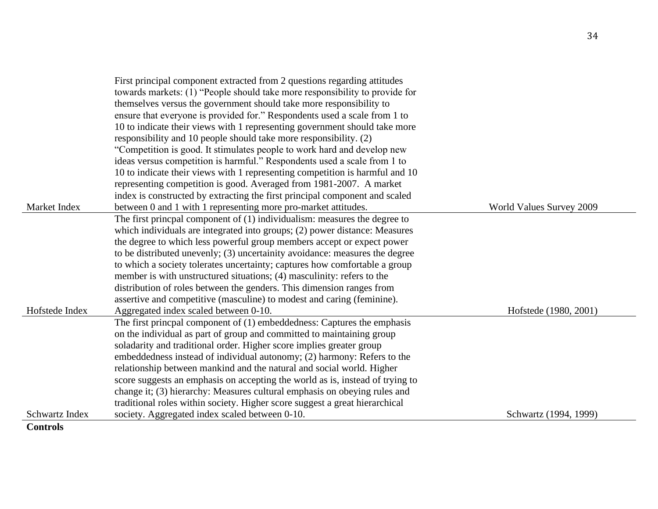|                 | First principal component extracted from 2 questions regarding attitudes      |                          |
|-----------------|-------------------------------------------------------------------------------|--------------------------|
|                 | towards markets: (1) "People should take more responsibility to provide for   |                          |
|                 | themselves versus the government should take more responsibility to           |                          |
|                 | ensure that everyone is provided for." Respondents used a scale from 1 to     |                          |
|                 | 10 to indicate their views with 1 representing government should take more    |                          |
|                 | responsibility and 10 people should take more responsibility. (2)             |                          |
|                 | "Competition is good. It stimulates people to work hard and develop new       |                          |
|                 | ideas versus competition is harmful." Respondents used a scale from 1 to      |                          |
|                 | 10 to indicate their views with 1 representing competition is harmful and 10  |                          |
|                 | representing competition is good. Averaged from 1981-2007. A market           |                          |
|                 | index is constructed by extracting the first principal component and scaled   |                          |
| Market Index    | between 0 and 1 with 1 representing more pro-market attitudes.                | World Values Survey 2009 |
|                 | The first princpal component of $(1)$ individualism: measures the degree to   |                          |
|                 | which individuals are integrated into groups; (2) power distance: Measures    |                          |
|                 | the degree to which less powerful group members accept or expect power        |                          |
|                 | to be distributed unevenly; (3) uncertainity avoidance: measures the degree   |                          |
|                 | to which a society tolerates uncertainty; captures how comfortable a group    |                          |
|                 | member is with unstructured situations; (4) masculinity: refers to the        |                          |
|                 | distribution of roles between the genders. This dimension ranges from         |                          |
|                 | assertive and competitive (masculine) to modest and caring (feminine).        |                          |
| Hofstede Index  | Aggregated index scaled between 0-10.                                         | Hofstede (1980, 2001)    |
|                 | The first princpal component of (1) embeddedness: Captures the emphasis       |                          |
|                 | on the individual as part of group and committed to maintaining group         |                          |
|                 | soladarity and traditional order. Higher score implies greater group          |                          |
|                 | embeddedness instead of individual autonomy; (2) harmony: Refers to the       |                          |
|                 | relationship between mankind and the natural and social world. Higher         |                          |
|                 | score suggests an emphasis on accepting the world as is, instead of trying to |                          |
|                 | change it; (3) hierarchy: Measures cultural emphasis on obeying rules and     |                          |
|                 | traditional roles within society. Higher score suggest a great hierarchical   |                          |
| Schwartz Index  | society. Aggregated index scaled between 0-10.                                | Schwartz (1994, 1999)    |
| <b>Controls</b> |                                                                               |                          |

34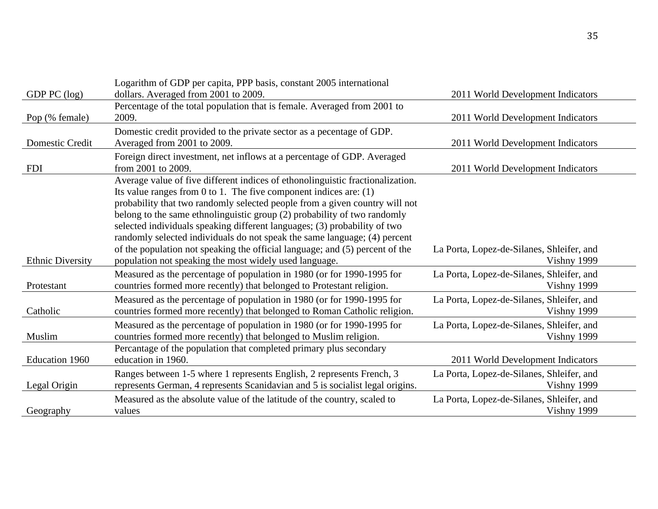|                         | Logarithm of GDP per capita, PPP basis, constant 2005 international            |                                           |
|-------------------------|--------------------------------------------------------------------------------|-------------------------------------------|
| GDP PC (log)            | dollars. Averaged from 2001 to 2009.                                           | 2011 World Development Indicators         |
|                         | Percentage of the total population that is female. Averaged from 2001 to       |                                           |
| Pop (% female)          | 2009.                                                                          | 2011 World Development Indicators         |
|                         | Domestic credit provided to the private sector as a pecentage of GDP.          |                                           |
| Domestic Credit         | Averaged from 2001 to 2009.                                                    | 2011 World Development Indicators         |
|                         | Foreign direct investment, net inflows at a percentage of GDP. Averaged        |                                           |
| <b>FDI</b>              | from 2001 to 2009.                                                             | 2011 World Development Indicators         |
|                         | Average value of five different indices of ethonolinguistic fractionalization. |                                           |
|                         | Its value ranges from 0 to 1. The five component indices are: $(1)$            |                                           |
|                         | probability that two randomly selected people from a given country will not    |                                           |
|                         | belong to the same ethnolinguistic group (2) probability of two randomly       |                                           |
|                         | selected individuals speaking different languages; (3) probability of two      |                                           |
|                         | randomly selected individuals do not speak the same language; (4) percent      |                                           |
|                         | of the population not speaking the official language; and (5) percent of the   | La Porta, Lopez-de-Silanes, Shleifer, and |
| <b>Ethnic Diversity</b> | population not speaking the most widely used language.                         | Vishny 1999                               |
|                         | Measured as the percentage of population in 1980 (or for 1990-1995 for         | La Porta, Lopez-de-Silanes, Shleifer, and |
| Protestant              | countries formed more recently) that belonged to Protestant religion.          | Vishny 1999                               |
|                         | Measured as the percentage of population in 1980 (or for 1990-1995 for         | La Porta, Lopez-de-Silanes, Shleifer, and |
| Catholic                | countries formed more recently) that belonged to Roman Catholic religion.      | Vishny 1999                               |
|                         | Measured as the percentage of population in 1980 (or for 1990-1995 for         | La Porta, Lopez-de-Silanes, Shleifer, and |
| Muslim                  | countries formed more recently) that belonged to Muslim religion.              | Vishny 1999                               |
|                         | Percantage of the population that completed primary plus secondary             |                                           |
| Education 1960          | education in 1960.                                                             | 2011 World Development Indicators         |
|                         | Ranges between 1-5 where 1 represents English, 2 represents French, 3          | La Porta, Lopez-de-Silanes, Shleifer, and |
| Legal Origin            | represents German, 4 represents Scanidavian and 5 is socialist legal origins.  | Vishny 1999                               |
|                         | Measured as the absolute value of the latitude of the country, scaled to       | La Porta, Lopez-de-Silanes, Shleifer, and |
| Geography               | values                                                                         | Vishny 1999                               |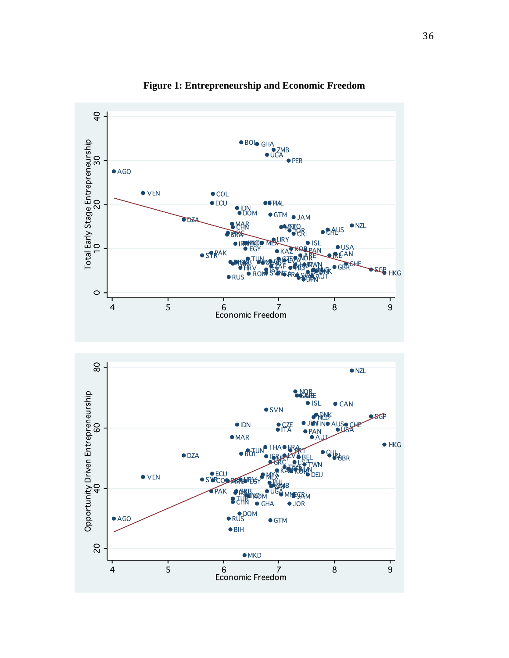

**Figure 1: Entrepreneurship and Economic Freedom**

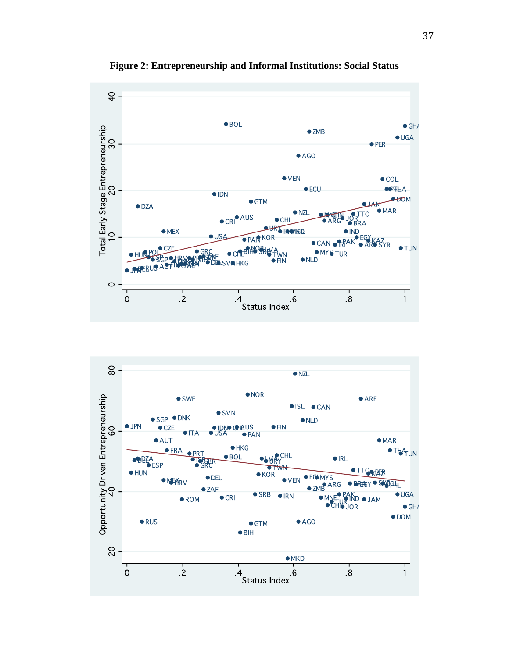

**Figure 2: Entrepreneurship and Informal Institutions: Social Status** 

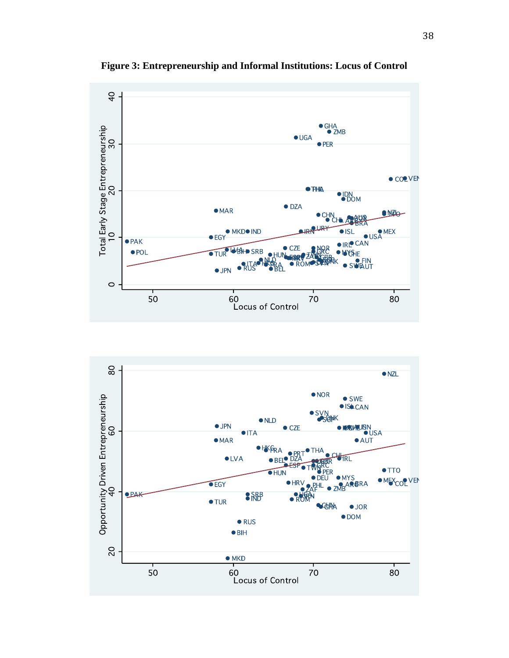

**Figure 3: Entrepreneurship and Informal Institutions: Locus of Control**

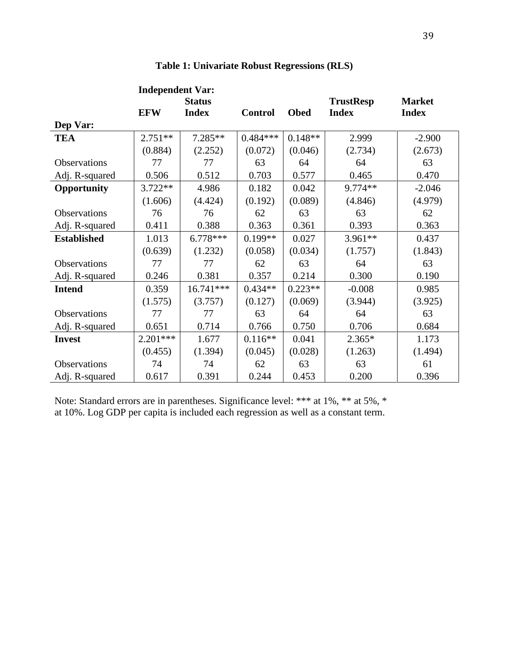|                     | <b>Independent Var:</b> |               |                |             |                  |               |
|---------------------|-------------------------|---------------|----------------|-------------|------------------|---------------|
|                     |                         | <b>Status</b> |                |             | <b>TrustResp</b> | <b>Market</b> |
|                     | <b>EFW</b>              | <b>Index</b>  | <b>Control</b> | <b>Obed</b> | <b>Index</b>     | <b>Index</b>  |
| Dep Var:            |                         |               |                |             |                  |               |
| <b>TEA</b>          | $2.751**$               | 7.285**       | $0.484***$     | $0.148**$   | 2.999            | $-2.900$      |
|                     | (0.884)                 | (2.252)       | (0.072)        | (0.046)     | (2.734)          | (2.673)       |
| Observations        | 77                      | 77            | 63             | 64          | 64               | 63            |
| Adj. R-squared      | 0.506                   | 0.512         | 0.703          | 0.577       | 0.465            | 0.470         |
| Opportunity         | $3.722**$               | 4.986         | 0.182          | 0.042       | 9.774**          | $-2.046$      |
|                     | (1.606)                 | (4.424)       | (0.192)        | (0.089)     | (4.846)          | (4.979)       |
| <b>Observations</b> | 76                      | 76            | 62             | 63          | 63               | 62            |
| Adj. R-squared      | 0.411                   | 0.388         | 0.363          | 0.361       | 0.393            | 0.363         |
| <b>Established</b>  | 1.013                   | $6.778***$    | $0.199**$      | 0.027       | $3.961**$        | 0.437         |
|                     | (0.639)                 | (1.232)       | (0.058)        | (0.034)     | (1.757)          | (1.843)       |
| Observations        | 77                      | 77            | 62             | 63          | 64               | 63            |
| Adj. R-squared      | 0.246                   | 0.381         | 0.357          | 0.214       | 0.300            | 0.190         |
| <b>Intend</b>       | 0.359                   | 16.741***     | $0.434**$      | $0.223**$   | $-0.008$         | 0.985         |
|                     | (1.575)                 | (3.757)       | (0.127)        | (0.069)     | (3.944)          | (3.925)       |
| Observations        | 77                      | 77            | 63             | 64          | 64               | 63            |
| Adj. R-squared      | 0.651                   | 0.714         | 0.766          | 0.750       | 0.706            | 0.684         |
| <b>Invest</b>       | $2.201***$              | 1.677         | $0.116**$      | 0.041       | $2.365*$         | 1.173         |
|                     | (0.455)                 | (1.394)       | (0.045)        | (0.028)     | (1.263)          | (1.494)       |
| <b>Observations</b> | 74                      | 74            | 62             | 63          | 63               | 61            |
| Adj. R-squared      | 0.617                   | 0.391         | 0.244          | 0.453       | 0.200            | 0.396         |

## **Table 1: Univariate Robust Regressions (RLS)**

Note: Standard errors are in parentheses. Significance level: \*\*\* at 1%, \*\* at 5%, \* at 10%. Log GDP per capita is included each regression as well as a constant term.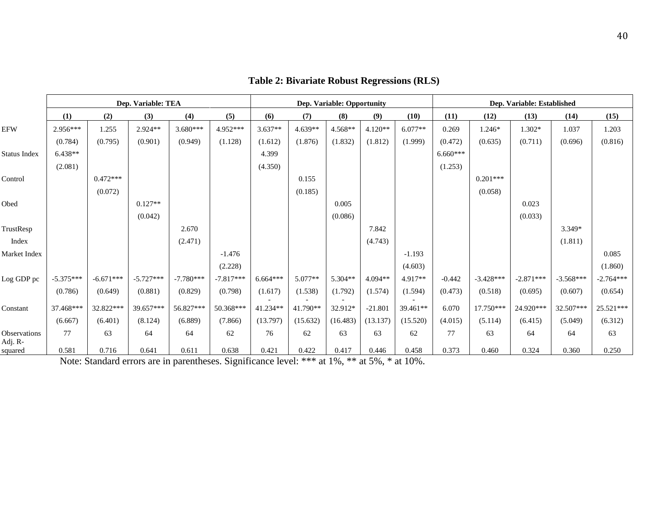|                         |             |             | Dep. Variable: TEA |             |             | Dep. Variable: Opportunity |          |          |           |           | Dep. Variable: Established |             |             |             |             |
|-------------------------|-------------|-------------|--------------------|-------------|-------------|----------------------------|----------|----------|-----------|-----------|----------------------------|-------------|-------------|-------------|-------------|
|                         | (1)         | (2)         | (3)                | (4)         | (5)         | (6)                        | (7)      | (8)      | (9)       | (10)      | (11)                       | (12)        | (13)        | (14)        | (15)        |
| <b>EFW</b>              | 2.956***    | 1.255       | $2.924**$          | $3.680***$  | 4.952***    | $3.637**$                  | 4.639**  | 4.568**  | $4.120**$ | $6.077**$ | 0.269                      | 1.246*      | 1.302*      | 1.037       | 1.203       |
|                         | (0.784)     | (0.795)     | (0.901)            | (0.949)     | (1.128)     | (1.612)                    | (1.876)  | (1.832)  | (1.812)   | (1.999)   | (0.472)                    | (0.635)     | (0.711)     | (0.696)     | (0.816)     |
| Status Index            | $6.438**$   |             |                    |             |             | 4.399                      |          |          |           |           | $6.660***$                 |             |             |             |             |
|                         | (2.081)     |             |                    |             |             | (4.350)                    |          |          |           |           | (1.253)                    |             |             |             |             |
| Control                 |             | $0.472***$  |                    |             |             |                            | 0.155    |          |           |           |                            | $0.201***$  |             |             |             |
|                         |             | (0.072)     |                    |             |             |                            | (0.185)  |          |           |           |                            | (0.058)     |             |             |             |
| Obed                    |             |             | $0.127**$          |             |             |                            |          | 0.005    |           |           |                            |             | 0.023       |             |             |
|                         |             |             | (0.042)            |             |             |                            |          | (0.086)  |           |           |                            |             | (0.033)     |             |             |
| TrustResp               |             |             |                    | 2.670       |             |                            |          |          | 7.842     |           |                            |             |             | $3.349*$    |             |
| Index                   |             |             |                    | (2.471)     |             |                            |          |          | (4.743)   |           |                            |             |             | (1.811)     |             |
| Market Index            |             |             |                    |             | $-1.476$    |                            |          |          |           | $-1.193$  |                            |             |             |             | 0.085       |
|                         |             |             |                    |             | (2.228)     |                            |          |          |           | (4.603)   |                            |             |             |             | (1.860)     |
| Log GDP pc              | $-5.375***$ | $-6.671***$ | $-5.727***$        | $-7.780***$ | $-7.817***$ | $6.664***$                 | 5.077**  | 5.304**  | 4.094**   | $4.917**$ | $-0.442$                   | $-3.428***$ | $-2.871***$ | $-3.568***$ | $-2.764***$ |
|                         | (0.786)     | (0.649)     | (0.881)            | (0.829)     | (0.798)     | (1.617)                    | (1.538)  | (1.792)  | (1.574)   | (1.594)   | (0.473)                    | (0.518)     | (0.695)     | (0.607)     | (0.654)     |
| Constant                | 37.468***   | 32.822***   | 39.657***          | 56.827***   | 50.368***   | 41.234**                   | 41.790** | 32.912*  | $-21.801$ | 39.461**  | 6.070                      | 17.750***   | 24.920***   | 32.507***   | 25.521***   |
|                         | (6.667)     | (6.401)     | (8.124)            | (6.889)     | (7.866)     | (13.797)                   | (15.632) | (16.483) | (13.137)  | (15.520)  | (4.015)                    | (5.114)     | (6.415)     | (5.049)     | (6.312)     |
| Observations<br>Adj. R- | 77          | 63          | 64                 | 64          | 62          | 76                         | 62       | 63       | 63        | 62        | 77                         | 63          | 64          | 64          | 63          |
| squared                 | 0.581       | 0.716       | 0.641              | 0.611       | 0.638       | 0.421                      | 0.422    | 0.417    | 0.446     | 0.458     | 0.373                      | 0.460       | 0.324       | 0.360       | 0.250       |

## **Table 2: Bivariate Robust Regressions (RLS)**

Note: Standard errors are in parentheses. Significance level: \*\*\* at 1%, \*\* at 5%, \* at 10%.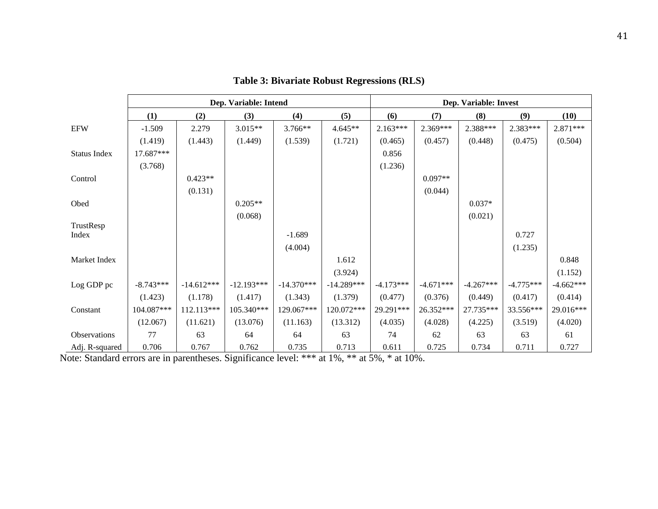|                     |             |              | Dep. Variable: Intend |              | Dep. Variable: Invest |             |             |             |             |             |  |
|---------------------|-------------|--------------|-----------------------|--------------|-----------------------|-------------|-------------|-------------|-------------|-------------|--|
|                     | (1)         | (2)          | (3)                   | (4)          | (5)                   | (6)         | (7)         | (8)         | (9)         | (10)        |  |
| <b>EFW</b>          | $-1.509$    | 2.279        | $3.015**$             | 3.766**      | $4.645**$             | $2.163***$  | 2.369***    | 2.388***    | 2.383***    | 2.871***    |  |
|                     | (1.419)     | (1.443)      | (1.449)               | (1.539)      | (1.721)               | (0.465)     | (0.457)     | (0.448)     | (0.475)     | (0.504)     |  |
| <b>Status Index</b> | 17.687***   |              |                       |              |                       | 0.856       |             |             |             |             |  |
|                     | (3.768)     |              |                       |              |                       | (1.236)     |             |             |             |             |  |
| Control             |             | $0.423**$    |                       |              |                       |             | $0.097**$   |             |             |             |  |
|                     |             | (0.131)      |                       |              |                       |             | (0.044)     |             |             |             |  |
| Obed                |             |              | $0.205**$             |              |                       |             |             | $0.037*$    |             |             |  |
|                     |             |              | (0.068)               |              |                       |             |             | (0.021)     |             |             |  |
| TrustResp           |             |              |                       |              |                       |             |             |             |             |             |  |
| Index               |             |              |                       | $-1.689$     |                       |             |             |             | 0.727       |             |  |
|                     |             |              |                       | (4.004)      |                       |             |             |             | (1.235)     |             |  |
| Market Index        |             |              |                       |              | 1.612                 |             |             |             |             | 0.848       |  |
|                     |             |              |                       |              | (3.924)               |             |             |             |             | (1.152)     |  |
| Log GDP pc          | $-8.743***$ | $-14.612***$ | $-12.193***$          | $-14.370***$ | $-14.289***$          | $-4.173***$ | $-4.671***$ | $-4.267***$ | $-4.775***$ | $-4.662***$ |  |
|                     | (1.423)     | (1.178)      | (1.417)               | (1.343)      | (1.379)               | (0.477)     | (0.376)     | (0.449)     | (0.417)     | (0.414)     |  |
| Constant            | 104.087***  | 112.113***   | 105.340***            | 129.067***   | 120.072***            | 29.291***   | 26.352***   | 27.735***   | 33.556***   | 29.016***   |  |
|                     | (12.067)    | (11.621)     | (13.076)              | (11.163)     | (13.312)              | (4.035)     | (4.028)     | (4.225)     | (3.519)     | (4.020)     |  |
| Observations        | 77          | 63           | 64                    | 64           | 63                    | 74          | 62          | 63          | 63          | 61          |  |
| Adj. R-squared      | 0.706       | 0.767        | 0.762                 | 0.735        | 0.713                 | 0.611       | 0.725       | 0.734       | 0.711       | 0.727       |  |

**Table 3: Bivariate Robust Regressions (RLS)**

Note: Standard errors are in parentheses. Significance level: \*\*\* at 1%, \*\* at 5%, \* at 10%.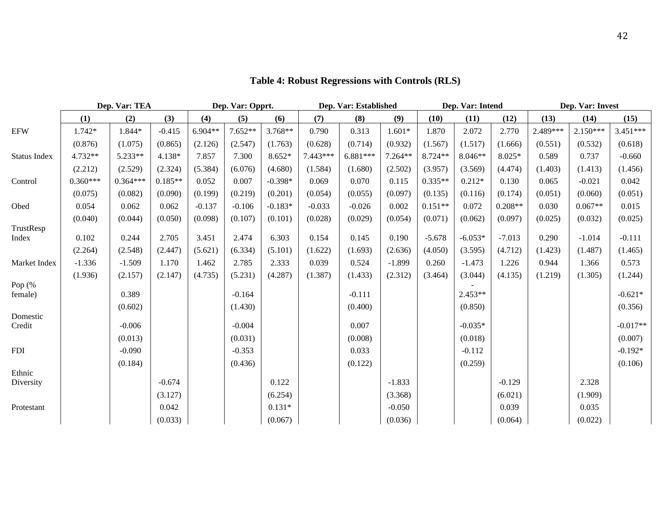|                     |            | Dep. Var: TEA |           |           | Dep. Var: Opprt. |           |          | Dep. Var: Established |          | Dep. Var: Intend |           |           | Dep. Var: Invest |            |            |
|---------------------|------------|---------------|-----------|-----------|------------------|-----------|----------|-----------------------|----------|------------------|-----------|-----------|------------------|------------|------------|
|                     | (1)        | (2)           | (3)       | (4)       | (5)              | (6)       | (7)      | (8)                   | (9)      | (10)             | (11)      | (12)      | (13)             | (14)       | (15)       |
| <b>EFW</b>          | $1.742*$   | 1.844*        | $-0.415$  | $6.904**$ | $7.652**$        | 3.768**   | 0.790    | 0.313                 | $1.601*$ | 1.870            | 2.072     | 2.770     | 2.489***         | $2.150***$ | $3.451***$ |
|                     | (0.876)    | (1.075)       | (0.865)   | (2.126)   | (2.547)          | (1.763)   | (0.628)  | (0.714)               | (0.932)  | (1.567)          | (1.517)   | (1.666)   | (0.551)          | (0.532)    | (0.618)    |
| <b>Status Index</b> | 4.732**    | 5.233**       | 4.138*    | 7.857     | 7.300            | $8.652*$  | 7.443*** | 6.881***              | 7.264**  | 8.724**          | $8.046**$ | 8.025*    | 0.589            | 0.737      | $-0.660$   |
|                     | (2.212)    | (2.529)       | (2.324)   | (5.384)   | (6.076)          | (4.680)   | (1.584)  | (1.680)               | (2.502)  | (3.957)          | (3.569)   | (4.474)   | (1.403)          | (1.413)    | (1.456)    |
| Control             | $0.360***$ | $0.364***$    | $0.185**$ | 0.052     | 0.007            | $-0.398*$ | 0.069    | 0.070                 | 0.115    | $0.335**$        | $0.212*$  | 0.130     | 0.065            | $-0.021$   | 0.042      |
|                     | (0.075)    | (0.082)       | (0.090)   | (0.199)   | (0.219)          | (0.201)   | (0.054)  | (0.055)               | (0.097)  | (0.135)          | (0.116)   | (0.174)   | (0.051)          | (0.060)    | (0.051)    |
| Obed                | 0.054      | 0.062         | 0.062     | $-0.137$  | $-0.106$         | $-0.183*$ | $-0.033$ | $-0.026$              | 0.002    | $0.151**$        | 0.072     | $0.208**$ | 0.030            | $0.067**$  | 0.015      |
|                     | (0.040)    | (0.044)       | (0.050)   | (0.098)   | (0.107)          | (0.101)   | (0.028)  | (0.029)               | (0.054)  | (0.071)          | (0.062)   | (0.097)   | (0.025)          | (0.032)    | (0.025)    |
| TrustResp<br>Index  | 0.102      | 0.244         | 2.705     | 3.451     | 2.474            | 6.303     | 0.154    | 0.145                 | 0.190    | $-5.678$         | $-6.053*$ | $-7.013$  | 0.290            | $-1.014$   | $-0.111$   |
|                     | (2.264)    | (2.548)       | (2.447)   | (5.621)   | (6.334)          | (5.101)   | (1.622)  | (1.693)               | (2.636)  | (4.050)          | (3.595)   | (4.712)   | (1.423)          | (1.487)    | (1.465)    |
| Market Index        | $-1.336$   | $-1.509$      | 1.170     | 1.462     | 2.785            | 2.333     | 0.039    | 0.524                 | $-1.899$ | 0.260            | $-1.473$  | 1.226     | 0.944            | 1.366      | 0.573      |
|                     | (1.936)    | (2.157)       | (2.147)   | (4.735)   | (5.231)          | (4.287)   | (1.387)  | (1.433)               | (2.312)  | (3.464)          | (3.044)   | (4.135)   | (1.219)          | (1.305)    | (1.244)    |
| Pop (%<br>female)   |            | 0.389         |           |           | $-0.164$         |           |          | $-0.111$              |          |                  | $2.453**$ |           |                  |            | $-0.621*$  |
|                     |            | (0.602)       |           |           | (1.430)          |           |          | (0.400)               |          |                  | (0.850)   |           |                  |            | (0.356)    |
| Domestic            |            |               |           |           |                  |           |          |                       |          |                  |           |           |                  |            |            |
| Credit              |            | $-0.006$      |           |           | $-0.004$         |           |          | 0.007                 |          |                  | $-0.035*$ |           |                  |            | $-0.017**$ |
|                     |            | (0.013)       |           |           | (0.031)          |           |          | (0.008)               |          |                  | (0.018)   |           |                  |            | (0.007)    |
| <b>FDI</b>          |            | $-0.090$      |           |           | $-0.353$         |           |          | 0.033                 |          |                  | $-0.112$  |           |                  |            | $-0.192*$  |
|                     |            | (0.184)       |           |           | (0.436)          |           |          | (0.122)               |          |                  | (0.259)   |           |                  |            | (0.106)    |
| Ethnic<br>Diversity |            |               | $-0.674$  |           |                  | 0.122     |          |                       | $-1.833$ |                  |           | $-0.129$  |                  | 2.328      |            |
|                     |            |               | (3.127)   |           |                  | (6.254)   |          |                       | (3.368)  |                  |           | (6.021)   |                  | (1.909)    |            |
| Protestant          |            |               | 0.042     |           |                  | $0.131*$  |          |                       | $-0.050$ |                  |           | 0.039     |                  | 0.035      |            |
|                     |            |               | (0.033)   |           |                  | (0.067)   |          |                       | (0.036)  |                  |           | (0.064)   |                  | (0.022)    |            |

# **Table 4: Robust Regressions with Controls (RLS)**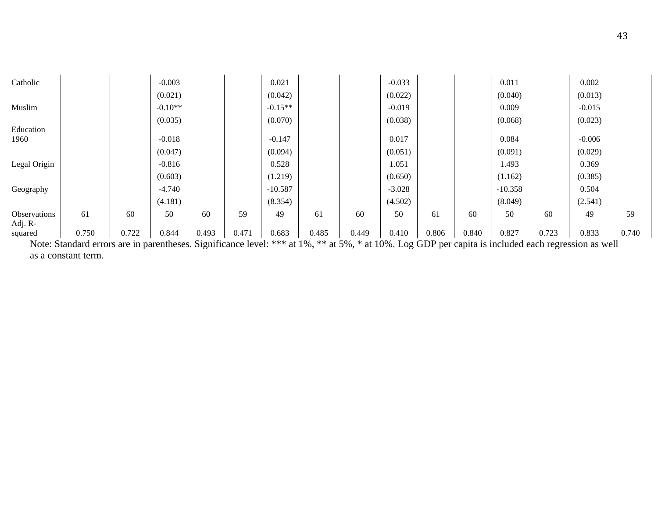| Catholic     |       |       | $-0.003$  |       |       | 0.021     |       |       | $-0.033$ |       |       | 0.011     |       | 0.002    |       |
|--------------|-------|-------|-----------|-------|-------|-----------|-------|-------|----------|-------|-------|-----------|-------|----------|-------|
|              |       |       | (0.021)   |       |       | (0.042)   |       |       | (0.022)  |       |       | (0.040)   |       | (0.013)  |       |
| Muslim       |       |       | $-0.10**$ |       |       | $-0.15**$ |       |       | $-0.019$ |       |       | 0.009     |       | $-0.015$ |       |
|              |       |       | (0.035)   |       |       | (0.070)   |       |       | (0.038)  |       |       | (0.068)   |       | (0.023)  |       |
| Education    |       |       |           |       |       |           |       |       |          |       |       |           |       |          |       |
| 1960         |       |       | $-0.018$  |       |       | $-0.147$  |       |       | 0.017    |       |       | 0.084     |       | $-0.006$ |       |
|              |       |       | (0.047)   |       |       | (0.094)   |       |       | (0.051)  |       |       | (0.091)   |       | (0.029)  |       |
| Legal Origin |       |       | $-0.816$  |       |       | 0.528     |       |       | 1.051    |       |       | 1.493     |       | 0.369    |       |
|              |       |       | (0.603)   |       |       | (1.219)   |       |       | (0.650)  |       |       | (1.162)   |       | (0.385)  |       |
| Geography    |       |       | $-4.740$  |       |       | $-10.587$ |       |       | $-3.028$ |       |       | $-10.358$ |       | 0.504    |       |
|              |       |       | (4.181)   |       |       | (8.354)   |       |       | (4.502)  |       |       | (8.049)   |       | (2.541)  |       |
| Observations | 61    | 60    | 50        | 60    | 59    | 49        | 61    | 60    | 50       | 61    | 60    | 50        | 60    | 49       | 59    |
| Adj. R-      |       |       |           |       |       |           |       |       |          |       |       |           |       |          |       |
| squared      | 0.750 | 0.722 | 0.844     | 0.493 | 0.471 | 0.683     | 0.485 | 0.449 | 0.410    | 0.806 | 0.840 | 0.827     | 0.723 | 0.833    | 0.740 |

Note: Standard errors are in parentheses. Significance level: \*\*\* at 1%, \*\* at 5%, \* at 10%. Log GDP per capita is included each regression as well as a constant term.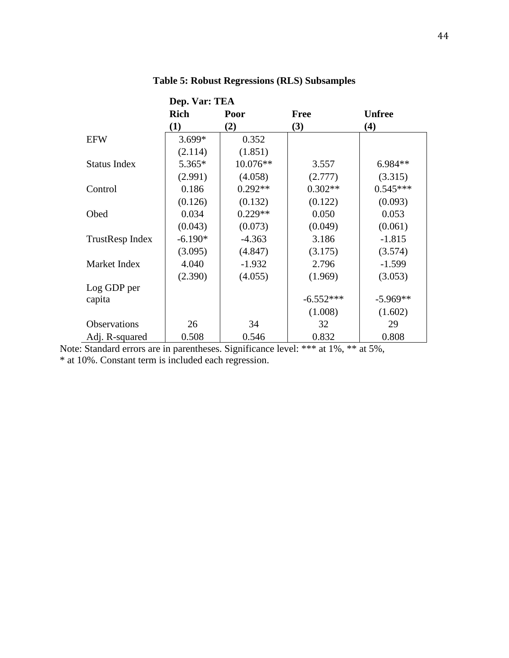|                     | Dep. Var: TEA |            |             |               |
|---------------------|---------------|------------|-------------|---------------|
|                     | <b>Rich</b>   | Poor       | Free        | <b>Unfree</b> |
|                     | (1)           | (2)        | (3)         | (4)           |
| <b>EFW</b>          | $3.699*$      | 0.352      |             |               |
|                     | (2.114)       | (1.851)    |             |               |
| <b>Status Index</b> | $5.365*$      | $10.076**$ | 3.557       | $6.984**$     |
|                     | (2.991)       | (4.058)    | (2.777)     | (3.315)       |
| Control             | 0.186         | $0.292**$  | $0.302**$   | $0.545***$    |
|                     | (0.126)       | (0.132)    | (0.122)     | (0.093)       |
| Obed                | 0.034         | $0.229**$  | 0.050       | 0.053         |
|                     | (0.043)       | (0.073)    | (0.049)     | (0.061)       |
| TrustResp Index     | $-6.190*$     | $-4.363$   | 3.186       | $-1.815$      |
|                     | (3.095)       | (4.847)    | (3.175)     | (3.574)       |
| Market Index        | 4.040         | $-1.932$   | 2.796       | $-1.599$      |
|                     | (2.390)       | (4.055)    | (1.969)     | (3.053)       |
| Log GDP per         |               |            |             |               |
| capita              |               |            | $-6.552***$ | $-5.969**$    |
|                     |               |            | (1.008)     | (1.602)       |
| Observations        | 26            | 34         | 32          | 29            |
| Adj. R-squared      | 0.508         | 0.546      | 0.832       | 0.808         |

**Table 5: Robust Regressions (RLS) Subsamples**

Note: Standard errors are in parentheses. Significance level: \*\*\* at 1%, \*\* at 5%,

\* at 10%. Constant term is included each regression.